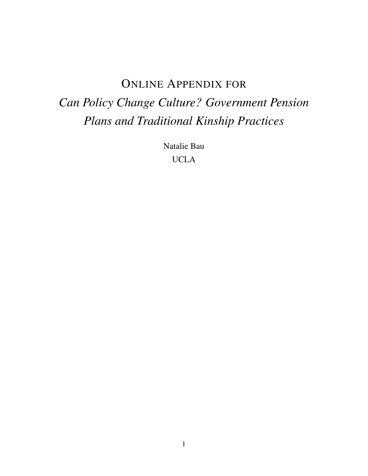# ONLINE APPENDIX FOR

# <span id="page-0-0"></span>*Can Policy Change Culture? Government Pension Plans and Traditional Kinship Practices*

Natalie Bau UCLA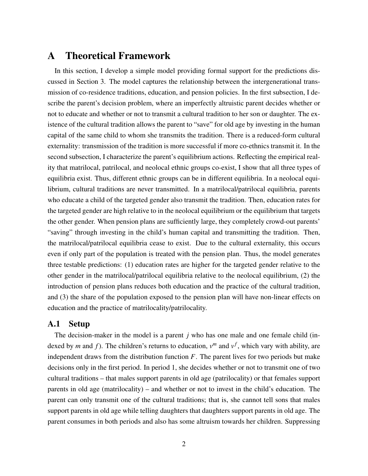# A Theoretical Framework

In this section, I develop a simple model providing formal support for the predictions discussed in Section 3. The model captures the relationship between the intergenerational transmission of co-residence traditions, education, and pension policies. In the first subsection, I describe the parent's decision problem, where an imperfectly altruistic parent decides whether or not to educate and whether or not to transmit a cultural tradition to her son or daughter. The existence of the cultural tradition allows the parent to "save" for old age by investing in the human capital of the same child to whom she transmits the tradition. There is a reduced-form cultural externality: transmission of the tradition is more successful if more co-ethnics transmit it. In the second subsection, I characterize the parent's equilibrium actions. Reflecting the empirical reality that matrilocal, patrilocal, and neolocal ethnic groups co-exist, I show that all three types of equilibria exist. Thus, different ethnic groups can be in different equilibria. In a neolocal equilibrium, cultural traditions are never transmitted. In a matrilocal/patrilocal equilibria, parents who educate a child of the targeted gender also transmit the tradition. Then, education rates for the targeted gender are high relative to in the neolocal equilibrium or the equilibrium that targets the other gender. When pension plans are sufficiently large, they completely crowd-out parents' "saving" through investing in the child's human capital and transmitting the tradition. Then, the matrilocal/patrilocal equilibria cease to exist. Due to the cultural externality, this occurs even if only part of the population is treated with the pension plan. Thus, the model generates three testable predictions: (1) education rates are higher for the targeted gender relative to the other gender in the matrilocal/patrilocal equilibria relative to the neolocal equilibrium, (2) the introduction of pension plans reduces both education and the practice of the cultural tradition, and (3) the share of the population exposed to the pension plan will have non-linear effects on education and the practice of matrilocality/patrilocality.

### A.1 Setup

The decision-maker in the model is a parent *j* who has one male and one female child (indexed by *m* and *f*). The children's returns to education,  $v^m$  and  $v^f$ , which vary with ability, are independent draws from the distribution function  $F$ . The parent lives for two periods but make decisions only in the first period. In period 1, she decides whether or not to transmit one of two cultural traditions – that males support parents in old age (patrilocality) or that females support parents in old age (matrilocality) – and whether or not to invest in the child's education. The parent can only transmit one of the cultural traditions; that is, she cannot tell sons that males support parents in old age while telling daughters that daughters support parents in old age. The parent consumes in both periods and also has some altruism towards her children. Suppressing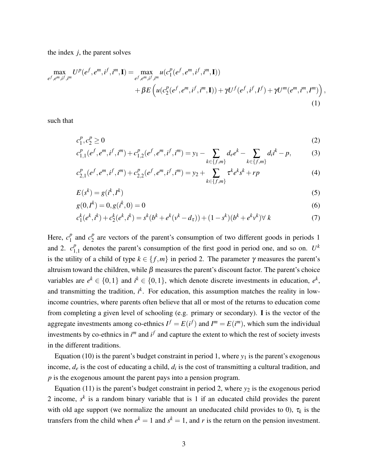the index *j*, the parent solves

$$
\max_{e^f, e^m, i^f, i^m} U^p(e^f, e^m, i^f, i^m, \mathbf{I}) = \max_{e^f, e^m, i^f, i^m} u(c_1^p(e^f, e^m, i^f, i^m, \mathbf{I})) \n+ \beta E \left( u(c_2^p(e^f, e^m, i^f, i^m, \mathbf{I})) + \gamma U^f(e^f, i^f, I^f) + \gamma U^m(e^m, i^m, I^m) \right),
$$
\n(1)

such that

$$
c_1^p, c_2^p \ge 0 \tag{2}
$$

$$
c_{1,1}^p(e^f, e^m, i^f, i^m) + c_{1,2}^p(e^f, e^m, i^f, i^m) = y_1 - \sum_{k \in \{f, m\}} d_e e^k - \sum_{k \in \{f, m\}} d_i i^k - p,\tag{3}
$$

$$
c_{2,1}^p(e^f, e^m, i^f, i^m) + c_{2,2}^p(e^f, e^m, i^f, i^m) = y_2 + \sum_{k \in \{f, m\}} \tau^k e^k s^k + rp \tag{4}
$$

$$
E(s^k) = g(i^k, I^k) \tag{5}
$$

$$
g(0, I^k) = 0, g(i^k, 0) = 0
$$
\n<sup>(6)</sup>

$$
c_1^k(e^k, i^k) + c_2^k(e^k, i^k) = s^k(b^k + e^k(v^k - d_\tau)) + (1 - s^k)(b^k + e^k v^k) \forall k
$$
\n<sup>(7)</sup>

Here,  $c_1^p$  $\frac{p}{1}$  and  $c_2^p$  $\frac{p}{2}$  are vectors of the parent's consumption of two different goods in periods 1 and 2.  $c_1^p$  $_{1,1}^p$  denotes the parent's consumption of the first good in period one, and so on.  $U^k$ is the utility of a child of type  $k \in \{f,m\}$  in period 2. The parameter  $\gamma$  measures the parent's altruism toward the children, while  $\beta$  measures the parent's discount factor. The parent's choice variables are  $e^k \in \{0,1\}$  and  $i^k \in \{0,1\}$ , which denote discrete investments in education,  $e^k$ , and transmitting the tradition,  $i^k$ . For education, this assumption matches the reality in lowincome countries, where parents often believe that all or most of the returns to education come from completing a given level of schooling (e.g. primary or secondary). I is the vector of the aggregate investments among co-ethnics  $I^f = E(i^f)$  and  $I^m = E(i^m)$ , which sum the individual investments by co-ethnics in  $i^m$  and  $i^f$  and capture the extent to which the rest of society invests in the different traditions.

Equation (10) is the parent's budget constraint in period 1, where  $y_1$  is the parent's exogenous income,  $d_e$  is the cost of educating a child,  $d_i$  is the cost of transmitting a cultural tradition, and *p* is the exogenous amount the parent pays into a pension program.

Equation (11) is the parent's budget constraint in period 2, where  $y_2$  is the exogenous period 2 income, *s k* is a random binary variable that is 1 if an educated child provides the parent with old age support (we normalize the amount an uneducated child provides to 0),  $\tau_k$  is the transfers from the child when  $e^k = 1$  and  $s^k = 1$ , and r is the return on the pension investment.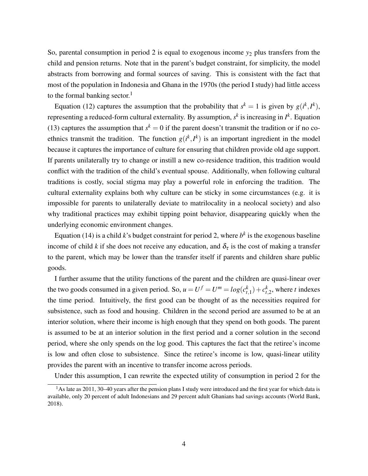So, parental consumption in period 2 is equal to exogenous income  $y_2$  plus transfers from the child and pension returns. Note that in the parent's budget constraint, for simplicity, the model abstracts from borrowing and formal sources of saving. This is consistent with the fact that most of the population in Indonesia and Ghana in the 1970s (the period I study) had little access to the formal banking sector. $<sup>1</sup>$  $<sup>1</sup>$  $<sup>1</sup>$ </sup>

Equation (12) captures the assumption that the probability that  $s^k = 1$  is given by  $g(i^k, I^k)$ , representing a reduced-form cultural externality. By assumption,  $s^k$  is increasing in  $I^k$ . Equation (13) captures the assumption that  $s^k = 0$  if the parent doesn't transmit the tradition or if no coethnics transmit the tradition. The function  $g(i^k, I^k)$  is an important ingredient in the model because it captures the importance of culture for ensuring that children provide old age support. If parents unilaterally try to change or instill a new co-residence tradition, this tradition would conflict with the tradition of the child's eventual spouse. Additionally, when following cultural traditions is costly, social stigma may play a powerful role in enforcing the tradition. The cultural externality explains both why culture can be sticky in some circumstances (e.g. it is impossible for parents to unilaterally deviate to matrilocality in a neolocal society) and also why traditional practices may exhibit tipping point behavior, disappearing quickly when the underlying economic environment changes.

Equation (14) is a child *k*'s budget constraint for period 2, where  $b<sup>k</sup>$  is the exogenous baseline income of child *k* if she does not receive any education, and  $\delta_{\tau}$  is the cost of making a transfer to the parent, which may be lower than the transfer itself if parents and children share public goods.

I further assume that the utility functions of the parent and the children are quasi-linear over the two goods consumed in a given period. So,  $u = U^f = U^m = log(c_{t,1}^k) + c_{t,2}^k$ , where *t* indexes the time period. Intuitively, the first good can be thought of as the necessities required for subsistence, such as food and housing. Children in the second period are assumed to be at an interior solution, where their income is high enough that they spend on both goods. The parent is assumed to be at an interior solution in the first period and a corner solution in the second period, where she only spends on the log good. This captures the fact that the retiree's income is low and often close to subsistence. Since the retiree's income is low, quasi-linear utility provides the parent with an incentive to transfer income across periods.

Under this assumption, I can rewrite the expected utility of consumption in period 2 for the

<sup>&</sup>lt;sup>1</sup>As late as 2011, 30–40 years after the pension plans I study were introduced and the first year for which data is available, only 20 percent of adult Indonesians and 29 percent adult Ghanians had savings accounts [\(World Bank,](#page-18-0) [2018\)](#page-18-0).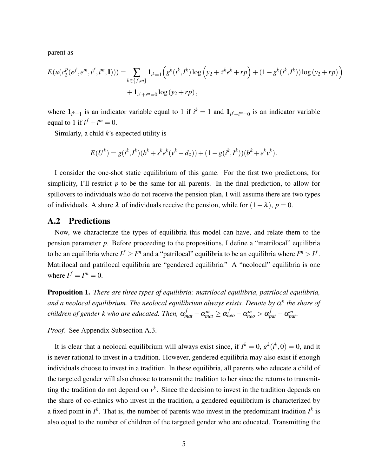parent as

$$
E(u(c_2^p(e^f, e^m, i^f, i^m, \mathbf{I}))) = \sum_{k \in \{f, m\}} \mathbf{1}_{i^k = 1} \Big( g^k(i^k, I^k) \log \Big( y_2 + \tau^k e^k + rp \Big) + (1 - g^k(i^k, I^k)) \log \Big( y_2 + rp \Big) + \mathbf{1}_{i^f + i^m = 0} \log \Big( y_2 + rp \Big),
$$

where  $\mathbf{1}_{i^k=1}$  is an indicator variable equal to 1 if  $i^k = 1$  and  $\mathbf{1}_{i^f + i^m = 0}$  is an indicator variable equal to 1 if  $i^f + i^m = 0$ .

Similarly, a child *k*'s expected utility is

$$
E(U^{k}) = g(i^{k}, I^{k})(b^{k} + s^{k}e^{k}(v^{k} - d_{\tau})) + (1 - g(i^{k}, I^{k}))(b^{k} + e^{k}v^{k}).
$$

I consider the one-shot static equilibrium of this game. For the first two predictions, for simplicity, I'll restrict  $p$  to be the same for all parents. In the final prediction, to allow for spillovers to individuals who do not receive the pension plan, I will assume there are two types of individuals. A share  $\lambda$  of individuals receive the pension, while for  $(1-\lambda)$ ,  $p = 0$ .

### A.2 Predictions

Now, we characterize the types of equilibria this model can have, and relate them to the pension parameter *p*. Before proceeding to the propositions, I define a "matrilocal" equilibria to be an equilibria where  $I^f \geq I^m$  and a "patrilocal" equilibria to be an equilibria where  $I^m > I^f$ . Matrilocal and patrilocal equilibria are "gendered equilibria." A "neolocal" equilibria is one where  $I^f = I^m = 0$ .

<span id="page-4-0"></span>Proposition 1. *There are three types of equilibria: matrilocal equilibria, patrilocal equilibria, and a neolocal equilibrium. The neolocal equilibrium always exists. Denote by* α *k the share of children of gender k who are educated. Then,*  $\alpha^f_{mat} - \alpha^m_{mat} \geq \alpha^f_{neo} - \alpha^m_{neo} > \alpha^f_{pat} - \alpha^m_{pat}.$ 

*Proof.* See Appendix Subsection [A.3.](#page-8-0)

It is clear that a neolocal equilibrium will always exist since, if  $I^k = 0$ ,  $g^k(i^k, 0) = 0$ , and it is never rational to invest in a tradition. However, gendered equilibria may also exist if enough individuals choose to invest in a tradition. In these equilibria, all parents who educate a child of the targeted gender will also choose to transmit the tradition to her since the returns to transmitting the tradition do not depend on  $v^k$ . Since the decision to invest in the tradition depends on the share of co-ethnics who invest in the tradition, a gendered equilibrium is characterized by a fixed point in  $I^k$ . That is, the number of parents who invest in the predominant tradition  $I^k$  is also equal to the number of children of the targeted gender who are educated. Transmitting the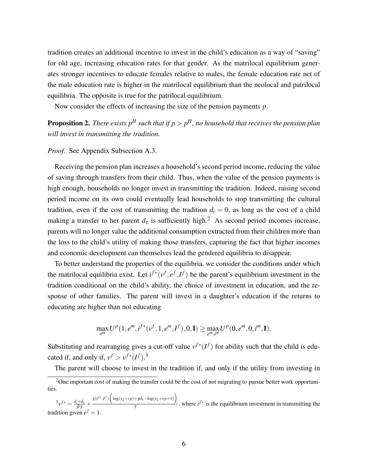tradition creates an additional incentive to invest in the child's education as a way of "saving" for old age, increasing education rates for that gender. As the matrilocal equilibrium generates stronger incentives to educate females relative to males, the female education rate net of the male education rate is higher in the matrilocal equilibrium than the neolocal and patrilocal equilibria. The opposite is true for the patrilocal equilibrium.

Now consider the effects of increasing the size of the pension payments *p*.

<span id="page-5-0"></span>Proposition 2. *There exists p<sup>H</sup> such that if p* > *p <sup>H</sup>, no household that receives the pension plan will invest in transmitting the tradition.*

*Proof.* See Appendix Subsection [A.3.](#page-8-0)

Receiving the pension plan increases a household's second period income, reducing the value of saving through transfers from their child. Thus, when the value of the pension payments is high enough, households no longer invest in transmitting the tradition. Indeed, raising second period income on its own could eventually lead households to stop transmitting the cultural tradition, even if the cost of transmitting the tradition  $d_i = 0$ , as long as the cost of a child making a transfer to her parent  $d_{\tau}$  is sufficiently high.<sup>[2](#page-0-0)</sup> As second period incomes increase, parents will no longer value the additional consumption extracted from their children more than the loss to the child's utility of making those transfers, capturing the fact that higher incomes and economic development can themselves lead the gendered equilibria to disappear.

To better understand the properties of the equilibria, we consider the conditions under which the matrilocal equilibria exist. Let  $i^{f*}(v^f, e^f, I^f)$  be the parent's equilibrium investment in the tradition conditional on the child's ability, the choice of investment in education, and the response of other families. The parent will invest in a daughter's education if the returns to educating are higher than not educating

$$
\max_{e^m} U^p(1, e^m, i^{f*}(v^f, 1, e^m, I^f), 0, I) \ge \max_{e^m, i^m} U^p(0, e^m, 0, i^m, I),
$$

Substituting and rearranging gives a cut-off value  $v^{f*}(I^f)$  for ability such that the child is educated if, and only if,  $v^f > v^{f*}(I^f)$ .<sup>[3](#page-0-0)</sup>

The parent will choose to invest in the tradition if, and only if the utility from investing in

 ${}^{3}v^{f*} = \frac{d_i + d_e}{\beta \gamma} + \frac{g(i^{f*}, I^f) \left( \log(y_2 + rp) + \gamma d_\tau - \log(y_2 + rp + \tau) \right)}{\gamma}$  $\frac{f(x)}{y}$ , where  $i^{f*}$  is the equilibrium investment in transmitting the tradition given  $e^f = 1$ .

<sup>&</sup>lt;sup>2</sup>One important cost of making the transfer could be the cost of not migrating to pursue better work opportunities.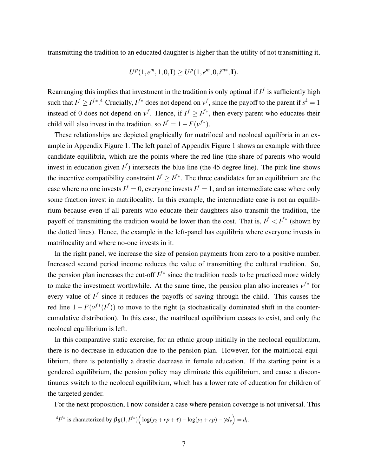transmitting the tradition to an educated daughter is higher than the utility of not transmitting it,

$$
U^{p}(1, e^{m}, 1, 0, I) \geq U^{p}(1, e^{m}, 0, i^{m*}, I).
$$

Rearranging this implies that investment in the tradition is only optimal if  $I^f$  is sufficiently high such that  $I^f \geq I^{f*}.$ <sup>[4](#page-0-0)</sup> Crucially,  $I^{f*}$  does not depend on  $v^f$ , since the payoff to the parent if  $s^k = 1$ instead of 0 does not depend on  $v^f$ . Hence, if  $I^f \geq I^{f*}$ , then every parent who educates their child will also invest in the tradition, so  $I^f = 1 - F(v^{f*})$ .

These relationships are depicted graphically for matrilocal and neolocal equilibria in an example in Appendix Figure [1.](#page-7-0) The left panel of Appendix Figure [1](#page-7-0) shows an example with three candidate equilibria, which are the points where the red line (the share of parents who would invest in education given  $I^f$ ) intersects the blue line (the 45 degree line). The pink line shows the incentive compatibility constraint  $I^f \geq I^{f*}$ . The three candidates for an equilibrium are the case where no one invests  $I^f = 0$ , everyone invests  $I^f = 1$ , and an intermediate case where only some fraction invest in matrilocality. In this example, the intermediate case is not an equilibrium because even if all parents who educate their daughters also transmit the tradition, the payoff of transmitting the tradition would be lower than the cost. That is,  $I^f < I^{f*}$  (shown by the dotted lines). Hence, the example in the left-panel has equilibria where everyone invests in matrilocality and where no-one invests in it.

In the right panel, we increase the size of pension payments from zero to a positive number. Increased second period income reduces the value of transmitting the cultural tradition. So, the pension plan increases the cut-off  $I^{f*}$  since the tradition needs to be practiced more widely to make the investment worthwhile. At the same time, the pension plan also increases  $v^{f*}$  for every value of  $I^f$  since it reduces the payoffs of saving through the child. This causes the red line  $1 - F(v^{f*}(I^f))$  to move to the right (a stochastically dominated shift in the countercumulative distribution). In this case, the matrilocal equilibrium ceases to exist, and only the neolocal equilibrium is left.

In this comparative static exercise, for an ethnic group initially in the neolocal equilibrium, there is no decrease in education due to the pension plan. However, for the matrilocal equilibrium, there is potentially a drastic decrease in female education. If the starting point is a gendered equilibrium, the pension policy may eliminate this equilibrium, and cause a discontinuous switch to the neolocal equilibrium, which has a lower rate of education for children of the targeted gender.

For the next proposition, I now consider a case where pension coverage is not universal. This

$$
{}^{4}I^{f*} \text{ is characterized by } \beta g(1,I^{f*}) \Big( \log(y_2 + rp + \tau) - \log(y_2 + rp) - \gamma d_{\tau} \Big) = d_i.
$$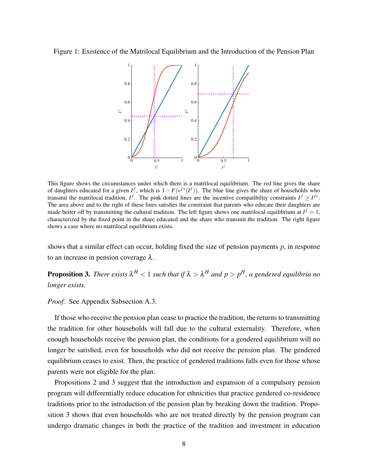#### <span id="page-7-0"></span>Figure 1: Existence of the Matrilocal Equilibrium and the Introduction of the Pension Plan



This figure shows the circumstances under which there is a matrilocal equilibrium. The red line gives the share of daughters educated for a given  $I^f$ , which is  $1 - F(v^{f*}(I^f))$ . The blue line gives the share of households who transmit the matrilocal tradition,  $I^f$ . The pink dotted lines are the incentive compatibility constraints  $I^f \geq I^{f*}$ . The area above and to the right of these lines satisfies the constraint that parents who educate their daughters are made better off by transmitting the cultural tradition. The left figure shows one matrilocal equilibrium at  $I^f = 1$ , characterized by the fixed point in the share educated and the share who transmit the tradition. The right figure shows a case where no matrilocal equilibrium exists.

shows that a similar effect can occur, holding fixed the size of pension payments *p*, in response to an increase in pension coverage  $\lambda$ .

<span id="page-7-1"></span>**Proposition 3.** There exists  $\lambda^H < 1$  such that if  $\lambda > \lambda^H$  and  $p > p^H$ , a gendered equilibria no *longer exists.*

### *Proof.* See Appendix Subsection [A.3.](#page-8-0)

If those who receive the pension plan cease to practice the tradition, the returns to transmitting the tradition for other households will fall due to the cultural externality. Therefore, when enough households receive the pension plan, the conditions for a gendered equilibrium will no longer be satisfied, even for households who did not receive the pension plan. The gendered equilibrium ceases to exist. Then, the practice of gendered traditions falls even for those whose parents were not eligible for the plan.

Propositions [2](#page-5-0) and [3](#page-7-1) suggest that the introduction and expansion of a compulsory pension program will differentially reduce education for ethnicities that practice gendered co-residence traditions prior to the introduction of the pension plan by breaking down the tradition. Proposition [3](#page-7-1) shows that even households who are not treated directly by the pension program can undergo dramatic changes in both the practice of the tradition and investment in education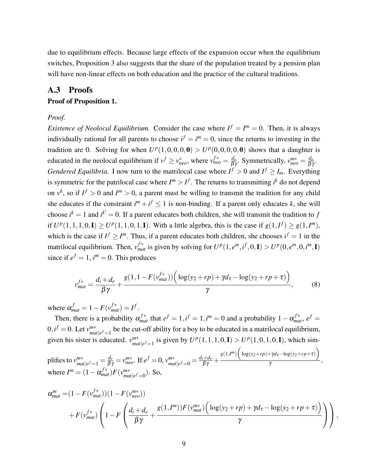due to equilibrium effects. Because large effects of the expansion occur when the equilibrium switches, Proposition [3](#page-7-1) also suggests that the share of the population treated by a pension plan will have non-linear effects on both education and the practice of the cultural traditions.

### <span id="page-8-0"></span>A.3 Proofs

### Proof of Proposition [1.](#page-4-0)

#### *Proof.*

*Existence of Neolocal Equilibrium.* Consider the case where  $I^f = I^m = 0$ . Then, it is always individually rational for all parents to choose  $i^f = i^m = 0$ , since the returns to investing in the tradition are 0. Solving for when  $U^p(1,0,0,0,0) > U^p(0,0,0,0,0)$  shows that a daughter is educated in the neolocal equilibrium if  $v^f \ge v_{neo}^*$ , where  $v_{neo}^{f*} = \frac{d_e}{\beta \gamma}$ . Symmetrically,  $v_{neo}^{m*} = \frac{d_e}{\beta \gamma}$ . *Gendered Equilibria.* I now turn to the matrilocal case where  $I^f > 0$  and  $I^f \geq I_m$ . Everything is symmetric for the patrilocal case where  $I^m > I^f$ . The returns to transmitting  $i^k$  do not depend on  $v^k$ , so if  $I^f > 0$  and  $I^m > 0$ , a parent must be willing to transmit the tradition for any child she educates if the constraint  $i^{m} + i^{f} \leq 1$  is non-binding. If a parent only educates k, she will choose  $i^k = 1$  and  $i^{k'} = 0$ . If a parent educates both children, she will transmit the tradition to *f* if  $U^p(1,1,1,0,\mathbf{I}) \ge U^p(1,1,0,1,\mathbf{I})$ . With a little algebra, this is the case if  $g(1,I^f) \ge g(1,I^m)$ , which is the case if  $I^f \geq I^m$ . Thus, if a parent educates both children, she chooses  $i^f = 1$  in the matrilocal equilibrium. Then,  $v_{mat}^{f*}$  is given by solving for  $U^p(1, e^m, i^f, 0, I) > U^p(0, e^m, 0, i^m, I)$ since if  $e^f = 1$ ,  $i^m = 0$ . This produces

$$
v_{mat}^{f*} = \frac{d_i + d_e}{\beta \gamma} + \frac{g(1, 1 - F(v_{mat}^{f*})) \left( \log(y_2 + rp) + \gamma d_{\tau} - \log(y_2 + rp + \tau) \right)}{\gamma},
$$
(8)

where  $\alpha_{mat}^f = 1 - F(v_{mat}^{f*}) = I^f$ .

Then, there is a probability  $\alpha_{mat}^{f*}$  that  $e^f = 1$ ,  $i^f = 1$ ,  $i^m = 0$  and a probability  $1 - \alpha_{mat}^{f*}$ ,  $e^f = 1$  $0, i^f = 0$ . Let  $v_{ma}^{m*}$  $\frac{m*}{mat|e^f=1}$  be the cut-off ability for a boy to be educated in a matrilocal equilibrium, given his sister is educated.  $v_{\text{match}}^{m*}$  is given by  $U^p(1,1,1,0,\mathbf{I}) > U^p(1,0,1,0,\mathbf{I})$ , which sim- $|net|$  $e^f$ =1

plifies to  $v_{ma}^{m*}$  $\frac{m}{\pi}$  *m t*<sub>1</sub>*e*  $f$  = 1 =  $\frac{d_e}{\beta \gamma}$  =  $v^{m*}_{neo}$ . If  $e^f$  = 0,  $v^{m*}_{ma}$  $\frac{m*}{m\alpha t}$ <sub>|e</sub>f<sub>=0</sub> =  $\frac{d_i+d_e}{\beta \gamma}$  +  $g(1,I^m)$  $\left(\log(y_2+rp)+\gamma d_\tau-\log(y_2+rp+\tau)\right)$  $\frac{1}{\gamma}$ , where  $I^m = (1 - \alpha_{mat}^{f*})F(v_{mat}^{m*})$  $_{mat|e^f=0}^{m*}$ ). So,

$$
\alpha_{mat}^{m} = (1 - F(v_{mat}^{f*})) (1 - F(v_{neo}^{m*}))
$$
  
+ 
$$
F(v_{mat}^{f*}) \left( 1 - F\left(\frac{d_i + d_e}{\beta \gamma} + \frac{g(1, I^m)) F(v_{mat}^{m*}) \left(\log(y_2 + rp) + \gamma d_{\tau} - \log(y_2 + rp + \tau)\right)}{\gamma}\right) \right),
$$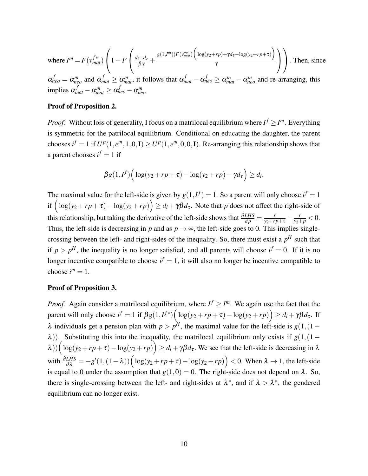where 
$$
I^m = F(v_{mat}^{f*}) \left( 1 - F \left( \frac{d_i + d_e}{\beta \gamma} + \frac{g(1, I^m)) F(v_{mat}^{m*}) \left( \log(y_2 + rp) + \gamma d_{\tau} - \log(y_2 + rp + \tau) \right)}{\gamma} \right) \right)
$$
. Then, since  $\alpha_{neo}^f = \alpha_{neo}^m$  and  $\alpha_{mat}^f \ge \alpha_{mat}^m$ , it follows that  $\alpha_{mat}^f - \alpha_{neo}^f \ge \alpha_{mat}^m - \alpha_{neo}^m$  and re-arranging, this implies  $\alpha_{mat}^f - \alpha_{mat}^m \ge \alpha_{neo}^f - \alpha_{meo}^m$ .

#### Proof of Proposition [2.](#page-5-0)

*Proof.* Without loss of generality, I focus on a matrilocal equilibrium where  $I^f \geq I^m$ . Everything is symmetric for the patrilocal equilibrium. Conditional on educating the daughter, the parent chooses  $i^f = 1$  if  $U^p(1, e^m, 1, 0, I) \ge U^p(1, e^m, 0, 0, I)$ . Re-arranging this relationship shows that a parent chooses  $i^f = 1$  if

$$
\beta g(1,I^f)\Big(\log(y_2+r p+\tau)-\log(y_2+r p)-\gamma d_\tau\Big)\geq d_i.
$$

The maximal value for the left-side is given by  $g(1, I^f) = 1$ . So a parent will only choose  $i^f = 1$ if  $\left(\log(y_2 + rp + \tau) - \log(y_2 + rp)\right) \ge d_i + \gamma \beta d_\tau$ . Note that *p* does not affect the right-side of this relationship, but taking the derivative of the left-side shows that  $\frac{\partial LHS}{\partial p} = \frac{r}{y_2 + rp + \tau} - \frac{r}{y_2 + p} < 0$ . Thus, the left-side is decreasing in *p* and as  $p \rightarrow \infty$ , the left-side goes to 0. This implies singlecrossing between the left- and right-sides of the inequality. So, there must exist a  $p<sup>H</sup>$  such that if  $p > p<sup>H</sup>$ , the inequality is no longer satisfied, and all parents will choose  $i<sup>f</sup> = 0$ . If it is no longer incentive compatible to choose  $i^f = 1$ , it will also no longer be incentive compatible to choose  $i^m = 1$ .

#### Proof of Proposition [3.](#page-7-1)

*Proof.* Again consider a matrilocal equilibrium, where  $I^f \geq I^m$ . We again use the fact that the parent will only choose  $i^f = 1$  if  $\beta g(1, I^{f*}) \Big( \log(y_2 + rp + \tau) - \log(y_2 + rp) \Big) \ge d_i + \gamma \beta d_{\tau}$ . If  $\lambda$  individuals get a pension plan with  $p > p^H$ , the maximal value for the left-side is  $g(1,(1-p)^H)$  $\lambda$ )). Substituting this into the inequality, the matrilocal equilibrium only exists if  $g(1,(1 \lambda$ ))  $\left(\log(y_2 + rp + \tau) - \log(y_2 + rp)\right) \ge d_i + \gamma \beta d_\tau$ . We see that the left-side is decreasing in  $\lambda$ with  $\frac{\partial LHS}{\partial \lambda} = -g'(1,(1-\lambda)) \left( \log(y_2 + rp + \tau) - \log(y_2 + rp) \right) < 0$ . When  $\lambda \to 1$ , the left-side is equal to 0 under the assumption that  $g(1,0) = 0$ . The right-side does not depend on  $\lambda$ . So, there is single-crossing between the left- and right-sides at  $\lambda^*$ , and if  $\lambda > \lambda^*$ , the gendered equilibrium can no longer exist.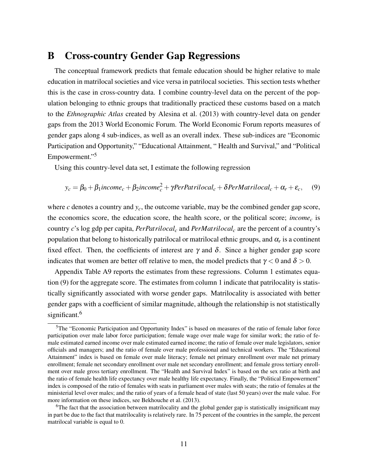## B Cross-country Gender Gap Regressions

The conceptual framework predicts that female education should be higher relative to male education in matrilocal societies and vice versa in patrilocal societies. This section tests whether this is the case in cross-country data. I combine country-level data on the percent of the population belonging to ethnic groups that traditionally practiced these customs based on a match to the *Ethnographic Atlas* created by [Alesina et al.](#page-18-1) [\(2013\)](#page-18-1) with country-level data on gender gaps from the 2013 World Economic Forum. The World Economic Forum reports measures of gender gaps along 4 sub-indices, as well as an overall index. These sub-indices are "Economic Participation and Opportunity," "Educational Attainment, " Health and Survival," and "Political Empowerment."<sup>[5](#page-0-0)</sup>

Using this country-level data set, I estimate the following regression

<span id="page-10-0"></span>
$$
y_c = \beta_0 + \beta_1 \text{income}_c + \beta_2 \text{income}_c^2 + \gamma \text{PerPartialocal}_c + \delta \text{PerMatrilocal}_c + \alpha_r + \varepsilon_c, \quad (9)
$$

where *c* denotes a country and *yc*, the outcome variable, may be the combined gender gap score, the economics score, the education score, the health score, or the political score; *income<sup>c</sup>* is country *c*'s log gdp per capita, *PerPatrilocal<sup>c</sup>* and *PerMatrilocal<sup>c</sup>* are the percent of a country's population that belong to historically patrilocal or matrilocal ethnic groups, and  $\alpha_r$  is a continent fixed effect. Then, the coefficients of interest are  $\gamma$  and  $\delta$ . Since a higher gender gap score indicates that women are better off relative to men, the model predicts that  $\gamma < 0$  and  $\delta > 0$ .

Appendix Table [A9](#page-27-0) reports the estimates from these regressions. Column 1 estimates equation [\(9\)](#page-10-0) for the aggregate score. The estimates from column 1 indicate that patrilocality is statistically significantly associated with worse gender gaps. Matrilocality is associated with better gender gaps with a coefficient of similar magnitude, although the relationship is not statistically significant.<sup>[6](#page-0-0)</sup>

<sup>&</sup>lt;sup>5</sup>The "Economic Participation and Opportunity Index" is based on measures of the ratio of female labor force participation over male labor force participation; female wage over male wage for similar work; the ratio of female estimated earned income over male estimated earned income; the ratio of female over male legislators, senior officials and managers; and the ratio of female over male professional and technical workers. The "Educational Attainment" index is based on female over male literacy; female net primary enrollment over male net primary enrollment; female net secondary enrollment over male net secondary enrollment; and female gross tertiary enrollment over male gross tertiary enrollment. The "Health and Survival Index" is based on the sex ratio at birth and the ratio of female health life expectancy over male healthy life expectancy. Finally, the "Political Empowerment" index is composed of the ratio of females with seats in parliament over males with seats; the ratio of females at the ministerial level over males; and the ratio of years of a female head of state (last 50 years) over the male value. For more information on these indices, see [Bekhouche et al.](#page-18-2) [\(2013\)](#page-18-2).

<sup>&</sup>lt;sup>6</sup>The fact that the association between matrilocality and the global gender gap is statistically insignificant may in part be due to the fact that matrilocality is relatively rare. In 75 percent of the countries in the sample, the percent matrilocal variable is equal to 0.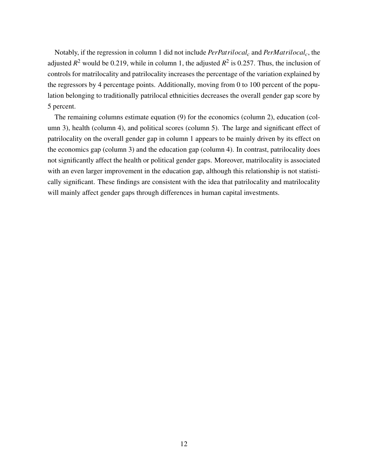Notably, if the regression in column 1 did not include *PerPatrilocal<sup>c</sup>* and *PerMatrilocalc*, the adjusted  $R^2$  would be 0.219, while in column 1, the adjusted  $R^2$  is 0.257. Thus, the inclusion of controls for matrilocality and patrilocality increases the percentage of the variation explained by the regressors by 4 percentage points. Additionally, moving from 0 to 100 percent of the population belonging to traditionally patrilocal ethnicities decreases the overall gender gap score by 5 percent.

The remaining columns estimate equation [\(9\)](#page-10-0) for the economics (column 2), education (column 3), health (column 4), and political scores (column 5). The large and significant effect of patrilocality on the overall gender gap in column 1 appears to be mainly driven by its effect on the economics gap (column 3) and the education gap (column 4). In contrast, patrilocality does not significantly affect the health or political gender gaps. Moreover, matrilocality is associated with an even larger improvement in the education gap, although this relationship is not statistically significant. These findings are consistent with the idea that patrilocality and matrilocality will mainly affect gender gaps through differences in human capital investments.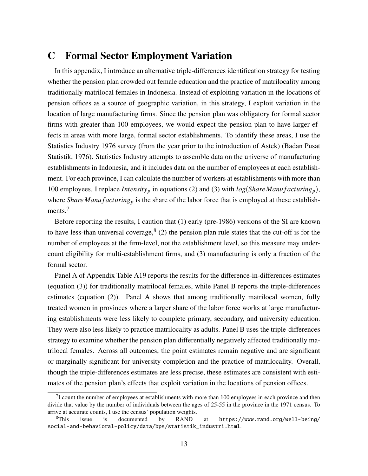# C Formal Sector Employment Variation

In this appendix, I introduce an alternative triple-differences identification strategy for testing whether the pension plan crowded out female education and the practice of matrilocality among traditionally matrilocal females in Indonesia. Instead of exploiting variation in the locations of pension offices as a source of geographic variation, in this strategy, I exploit variation in the location of large manufacturing firms. Since the pension plan was obligatory for formal sector firms with greater than 100 employees, we would expect the pension plan to have larger effects in areas with more large, formal sector establishments. To identify these areas, I use the Statistics Industry 1976 survey (from the year prior to the introduction of Astek) [\(Badan Pusat](#page-18-3) [Statistik, 1976\)](#page-18-3). Statistics Industry attempts to assemble data on the universe of manufacturing establishments in Indonesia, and it includes data on the number of employees at each establishment. For each province, I can calculate the number of workers at establishments with more than 100 employees. I replace *Intensity<sub>p</sub>* in equations [\(2\)](#page-0-0) and [\(3\)](#page-0-0) with  $log(Share\,Mant{acturing_p})$ , where *Share Manu f acturing*<sup>*p*</sup> is the share of the labor force that is employed at these establish-ments.<sup>[7](#page-0-0)</sup>

Before reporting the results, I caution that (1) early (pre-1986) versions of the SI are known to have less-than universal coverage,  $8(2)$  $8(2)$  the pension plan rule states that the cut-off is for the number of employees at the firm-level, not the establishment level, so this measure may undercount eligibility for multi-establishment firms, and (3) manufacturing is only a fraction of the formal sector.

Panel A of Appendix Table [A19](#page-37-0) reports the results for the difference-in-differences estimates (equation [\(3\)](#page-0-0)) for traditionally matrilocal females, while Panel B reports the triple-differences estimates (equation [\(2\)](#page-0-0)). Panel A shows that among traditionally matrilocal women, fully treated women in provinces where a larger share of the labor force works at large manufacturing establishments were less likely to complete primary, secondary, and university education. They were also less likely to practice matrilocality as adults. Panel B uses the triple-differences strategy to examine whether the pension plan differentially negatively affected traditionally matrilocal females. Across all outcomes, the point estimates remain negative and are significant or marginally significant for university completion and the practice of matrilocality. Overall, though the triple-differences estimates are less precise, these estimates are consistent with estimates of the pension plan's effects that exploit variation in the locations of pension offices.

 $17$  count the number of employees at establishments with more than 100 employees in each province and then divide that value by the number of individuals between the ages of 25-55 in the province in the 1971 census. To arrive at accurate counts, I use the census' population weights.

 $8$ This issue is documented by RAND at [https://www.rand.org/well-being/](https://www.rand.org/well-being/social-and-behavioral-policy/data/bps/statistik_industri.html) [social-and-behavioral-policy/data/bps/statistik\\_industri.html](https://www.rand.org/well-being/social-and-behavioral-policy/data/bps/statistik_industri.html).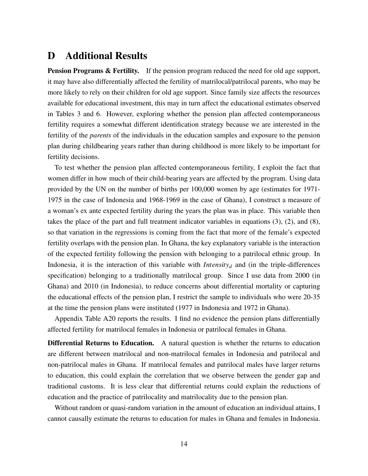# D Additional Results

Pension Programs & Fertility. If the pension program reduced the need for old age support, it may have also differentially affected the fertility of matrilocal/patrilocal parents, who may be more likely to rely on their children for old age support. Since family size affects the resources available for educational investment, this may in turn affect the educational estimates observed in Tables [3](#page-19-0) and [6.](#page-23-0) However, exploring whether the pension plan affected contemporaneous fertility requires a somewhat different identification strategy because we are interested in the fertility of the *parents* of the individuals in the education samples and exposure to the pension plan during childbearing years rather than during childhood is more likely to be important for fertility decisions.

To test whether the pension plan affected contemporaneous fertility, I exploit the fact that women differ in how much of their child-bearing years are affected by the program. Using data provided by the UN on the number of births per 100,000 women by age (estimates for 1971- 1975 in the case of Indonesia and 1968-1969 in the case of Ghana), I construct a measure of a woman's ex ante expected fertility during the years the plan was in place. This variable then takes the place of the part and full treatment indicator variables in equations [\(3\)](#page-0-0), [\(2\)](#page-0-0), and [\(8\)](#page-0-0), so that variation in the regressions is coming from the fact that more of the female's expected fertility overlaps with the pension plan. In Ghana, the key explanatory variable is the interaction of the expected fertility following the pension with belonging to a patrilocal ethnic group. In Indonesia, it is the interaction of this variable with *Intensity<sub>d</sub>* and (in the triple-differences specification) belonging to a traditionally matrilocal group. Since I use data from 2000 (in Ghana) and 2010 (in Indonesia), to reduce concerns about differential mortality or capturing the educational effects of the pension plan, I restrict the sample to individuals who were 20-35 at the time the pension plans were instituted (1977 in Indonesia and 1972 in Ghana).

Appendix Table [A20](#page-38-0) reports the results. I find no evidence the pension plans differentially affected fertility for matrilocal females in Indonesia or patrilocal females in Ghana.

Differential Returns to Education. A natural question is whether the returns to education are different between matrilocal and non-matrilocal females in Indonesia and patrilocal and non-patrilocal males in Ghana. If matrilocal females and patrilocal males have larger returns to education, this could explain the correlation that we observe between the gender gap and traditional customs. It is less clear that differential returns could explain the reductions of education and the practice of patrilocality and matrilocality due to the pension plan.

Without random or quasi-random variation in the amount of education an individual attains, I cannot causally estimate the returns to education for males in Ghana and females in Indonesia.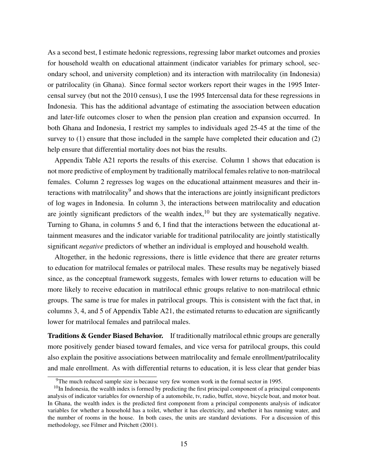As a second best, I estimate hedonic regressions, regressing labor market outcomes and proxies for household wealth on educational attainment (indicator variables for primary school, secondary school, and university completion) and its interaction with matrilocality (in Indonesia) or patrilocality (in Ghana). Since formal sector workers report their wages in the 1995 Intercensal survey (but not the 2010 census), I use the 1995 Intercensal data for these regressions in Indonesia. This has the additional advantage of estimating the association between education and later-life outcomes closer to when the pension plan creation and expansion occurred. In both Ghana and Indonesia, I restrict my samples to individuals aged 25-45 at the time of the survey to (1) ensure that those included in the sample have completed their education and (2) help ensure that differential mortality does not bias the results.

Appendix Table [A21](#page-39-0) reports the results of this exercise. Column 1 shows that education is not more predictive of employment by traditionally matrilocal females relative to non-matrilocal females. Column 2 regresses log wages on the educational attainment measures and their in-teractions with matrilocality<sup>[9](#page-0-0)</sup> and shows that the interactions are jointly insignificant predictors of log wages in Indonesia. In column 3, the interactions between matrilocality and education are jointly significant predictors of the wealth index,  $10$  but they are systematically negative. Turning to Ghana, in columns 5 and 6, I find that the interactions between the educational attainment measures and the indicator variable for traditional patrilocality are jointly statistically significant *negative* predictors of whether an individual is employed and household wealth.

Altogether, in the hedonic regressions, there is little evidence that there are greater returns to education for matrilocal females or patrilocal males. These results may be negatively biased since, as the conceptual framework suggests, females with lower returns to education will be more likely to receive education in matrilocal ethnic groups relative to non-matrilocal ethnic groups. The same is true for males in patrilocal groups. This is consistent with the fact that, in columns 3, 4, and 5 of Appendix Table [A21,](#page-39-0) the estimated returns to education are significantly lower for matrilocal females and patrilocal males.

Traditions & Gender Biased Behavior. If traditionally matrilocal ethnic groups are generally more positively gender biased toward females, and vice versa for patrilocal groups, this could also explain the positive associations between matrilocality and female enrollment/patrilocality and male enrollment. As with differential returns to education, it is less clear that gender bias

<sup>9</sup>The much reduced sample size is because very few women work in the formal sector in 1995.

 $10$ In Indonesia, the wealth index is formed by predicting the first principal component of a principal components analysis of indicator variables for ownership of a automobile, tv, radio, buffet, stove, bicycle boat, and motor boat. In Ghana, the wealth index is the predicted first component from a principal components analysis of indicator variables for whether a household has a toilet, whether it has electricity, and whether it has running water, and the number of rooms in the house. In both cases, the units are standard deviations. For a discussion of this methodology, see [Filmer and Pritchett](#page-18-4) [\(2001\)](#page-18-4).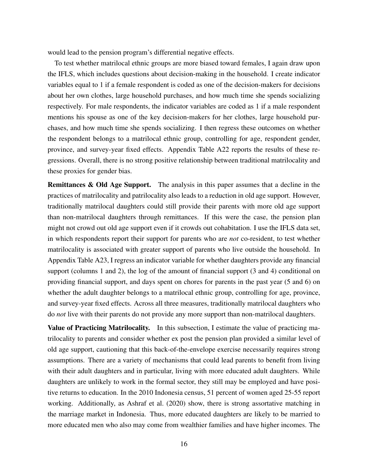would lead to the pension program's differential negative effects.

To test whether matrilocal ethnic groups are more biased toward females, I again draw upon the IFLS, which includes questions about decision-making in the household. I create indicator variables equal to 1 if a female respondent is coded as one of the decision-makers for decisions about her own clothes, large household purchases, and how much time she spends socializing respectively. For male respondents, the indicator variables are coded as 1 if a male respondent mentions his spouse as one of the key decision-makers for her clothes, large household purchases, and how much time she spends socializing. I then regress these outcomes on whether the respondent belongs to a matrilocal ethnic group, controlling for age, respondent gender, province, and survey-year fixed effects. Appendix Table [A22](#page-40-0) reports the results of these regressions. Overall, there is no strong positive relationship between traditional matrilocality and these proxies for gender bias.

Remittances & Old Age Support. The analysis in this paper assumes that a decline in the practices of matrilocality and patrilocality also leads to a reduction in old age support. However, traditionally matrilocal daughters could still provide their parents with more old age support than non-matrilocal daughters through remittances. If this were the case, the pension plan might not crowd out old age support even if it crowds out cohabitation. I use the IFLS data set, in which respondents report their support for parents who are *not* co-resident, to test whether matrilocality is associated with greater support of parents who live outside the household. In Appendix Table [A23,](#page-41-0) I regress an indicator variable for whether daughters provide any financial support (columns 1 and 2), the log of the amount of financial support (3 and 4) conditional on providing financial support, and days spent on chores for parents in the past year (5 and 6) on whether the adult daughter belongs to a matrilocal ethnic group, controlling for age, province, and survey-year fixed effects. Across all three measures, traditionally matrilocal daughters who do *not* live with their parents do not provide any more support than non-matrilocal daughters.

Value of Practicing Matrilocality. In this subsection, I estimate the value of practicing matrilocality to parents and consider whether ex post the pension plan provided a similar level of old age support, cautioning that this back-of-the-envelope exercise necessarily requires strong assumptions. There are a variety of mechanisms that could lead parents to benefit from living with their adult daughters and in particular, living with more educated adult daughters. While daughters are unlikely to work in the formal sector, they still may be employed and have positive returns to education. In the 2010 Indonesia census, 51 percent of women aged 25-55 report working. Additionally, as [Ashraf et al.](#page-18-5) [\(2020\)](#page-18-5) show, there is strong assortative matching in the marriage market in Indonesia. Thus, more educated daughters are likely to be married to more educated men who also may come from wealthier families and have higher incomes. The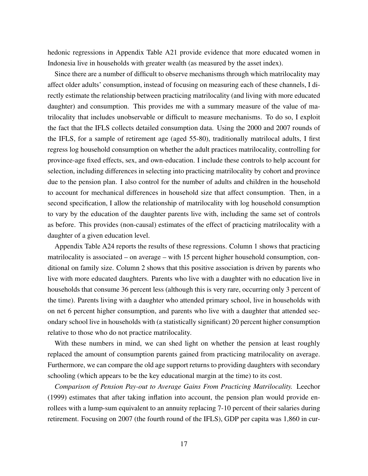hedonic regressions in Appendix Table [A21](#page-39-0) provide evidence that more educated women in Indonesia live in households with greater wealth (as measured by the asset index).

Since there are a number of difficult to observe mechanisms through which matrilocality may affect older adults' consumption, instead of focusing on measuring each of these channels, I directly estimate the relationship between practicing matrilocality (and living with more educated daughter) and consumption. This provides me with a summary measure of the value of matrilocality that includes unobservable or difficult to measure mechanisms. To do so, I exploit the fact that the IFLS collects detailed consumption data. Using the 2000 and 2007 rounds of the IFLS, for a sample of retirement age (aged 55-80), traditionally matrilocal adults, I first regress log household consumption on whether the adult practices matrilocality, controlling for province-age fixed effects, sex, and own-education. I include these controls to help account for selection, including differences in selecting into practicing matrilocality by cohort and province due to the pension plan. I also control for the number of adults and children in the household to account for mechanical differences in household size that affect consumption. Then, in a second specification, I allow the relationship of matrilocality with log household consumption to vary by the education of the daughter parents live with, including the same set of controls as before. This provides (non-causal) estimates of the effect of practicing matrilocality with a daughter of a given education level.

Appendix Table [A24](#page-42-0) reports the results of these regressions. Column 1 shows that practicing matrilocality is associated – on average – with 15 percent higher household consumption, conditional on family size. Column 2 shows that this positive association is driven by parents who live with more educated daughters. Parents who live with a daughter with no education live in households that consume 36 percent less (although this is very rare, occurring only 3 percent of the time). Parents living with a daughter who attended primary school, live in households with on net 6 percent higher consumption, and parents who live with a daughter that attended secondary school live in households with (a statistically significant) 20 percent higher consumption relative to those who do not practice matrilocality.

With these numbers in mind, we can shed light on whether the pension at least roughly replaced the amount of consumption parents gained from practicing matrilocality on average. Furthermore, we can compare the old age support returns to providing daughters with secondary schooling (which appears to be the key educational margin at the time) to its cost.

*Comparison of Pension Pay-out to Average Gains From Practicing Matrilocality.* [Leechor](#page-18-6) [\(1999\)](#page-18-6) estimates that after taking inflation into account, the pension plan would provide enrollees with a lump-sum equivalent to an annuity replacing 7-10 percent of their salaries during retirement. Focusing on 2007 (the fourth round of the IFLS), GDP per capita was 1,860 in cur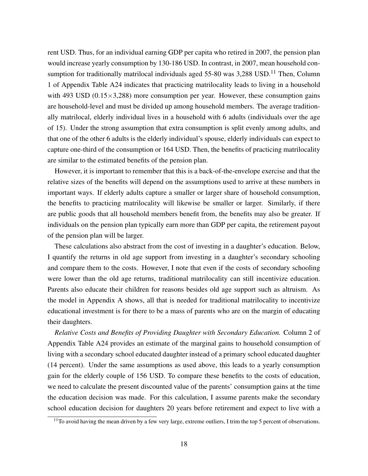rent USD. Thus, for an individual earning GDP per capita who retired in 2007, the pension plan would increase yearly consumption by 130-186 USD. In contrast, in 2007, mean household consumption for traditionally matrilocal individuals aged  $55$ -80 was 3,288 USD.<sup>[11](#page-0-0)</sup> Then, Column 1 of Appendix Table [A24](#page-42-0) indicates that practicing matrilocality leads to living in a household with 493 USD  $(0.15 \times 3,288)$  more consumption per year. However, these consumption gains are household-level and must be divided up among household members. The average traditionally matrilocal, elderly individual lives in a household with 6 adults (individuals over the age of 15). Under the strong assumption that extra consumption is split evenly among adults, and that one of the other 6 adults is the elderly individual's spouse, elderly individuals can expect to capture one-third of the consumption or 164 USD. Then, the benefits of practicing matrilocality are similar to the estimated benefits of the pension plan.

However, it is important to remember that this is a back-of-the-envelope exercise and that the relative sizes of the benefits will depend on the assumptions used to arrive at these numbers in important ways. If elderly adults capture a smaller or larger share of household consumption, the benefits to practicing matrilocality will likewise be smaller or larger. Similarly, if there are public goods that all household members benefit from, the benefits may also be greater. If individuals on the pension plan typically earn more than GDP per capita, the retirement payout of the pension plan will be larger.

These calculations also abstract from the cost of investing in a daughter's education. Below, I quantify the returns in old age support from investing in a daughter's secondary schooling and compare them to the costs. However, I note that even if the costs of secondary schooling were lower than the old age returns, traditional matrilocality can still incentivize education. Parents also educate their children for reasons besides old age support such as altruism. As the model in Appendix A shows, all that is needed for traditional matrilocality to incentivize educational investment is for there to be a mass of parents who are on the margin of educating their daughters.

*Relative Costs and Benefits of Providing Daughter with Secondary Education.* Column 2 of Appendix Table [A24](#page-42-0) provides an estimate of the marginal gains to household consumption of living with a secondary school educated daughter instead of a primary school educated daughter (14 percent). Under the same assumptions as used above, this leads to a yearly consumption gain for the elderly couple of 156 USD. To compare these benefits to the costs of education, we need to calculate the present discounted value of the parents' consumption gains at the time the education decision was made. For this calculation, I assume parents make the secondary school education decision for daughters 20 years before retirement and expect to live with a

<sup>&</sup>lt;sup>11</sup>To avoid having the mean driven by a few very large, extreme outliers, I trim the top 5 percent of observations.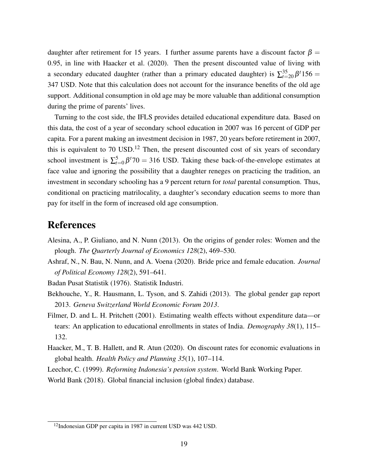daughter after retirement for 15 years. I further assume parents have a discount factor  $\beta$  = 0.95, in line with [Haacker et al.](#page-18-7) [\(2020\)](#page-18-7). Then the present discounted value of living with a secondary educated daughter (rather than a primary educated daughter) is  $\sum_{t=20}^{35} \beta^t 156 =$ 347 USD. Note that this calculation does not account for the insurance benefits of the old age support. Additional consumption in old age may be more valuable than additional consumption during the prime of parents' lives.

Turning to the cost side, the IFLS provides detailed educational expenditure data. Based on this data, the cost of a year of secondary school education in 2007 was 16 percent of GDP per capita. For a parent making an investment decision in 1987, 20 years before retirement in 2007, this is equivalent to 70 USD.<sup>[12](#page-0-0)</sup> Then, the present discounted cost of six years of secondary school investment is  $\sum_{t=0}^{5} \beta^t 70 = 316$  USD. Taking these back-of-the-envelope estimates at face value and ignoring the possibility that a daughter reneges on practicing the tradition, an investment in secondary schooling has a 9 percent return for *total* parental consumption. Thus, conditional on practicing matrilocality, a daughter's secondary education seems to more than pay for itself in the form of increased old age consumption.

# References

- <span id="page-18-1"></span>Alesina, A., P. Giuliano, and N. Nunn (2013). On the origins of gender roles: Women and the plough. *The Quarterly Journal of Economics 128*(2), 469–530.
- <span id="page-18-5"></span>Ashraf, N., N. Bau, N. Nunn, and A. Voena (2020). Bride price and female education. *Journal of Political Economy 128*(2), 591–641.
- <span id="page-18-3"></span>Badan Pusat Statistik (1976). Statistik Industri.
- <span id="page-18-2"></span>Bekhouche, Y., R. Hausmann, L. Tyson, and S. Zahidi (2013). The global gender gap report 2013. *Geneva Switzerland World Economic Forum 2013*.
- <span id="page-18-4"></span>Filmer, D. and L. H. Pritchett (2001). Estimating wealth effects without expenditure data—or tears: An application to educational enrollments in states of India. *Demography 38*(1), 115– 132.
- <span id="page-18-7"></span>Haacker, M., T. B. Hallett, and R. Atun (2020). On discount rates for economic evaluations in global health. *Health Policy and Planning 35*(1), 107–114.
- <span id="page-18-6"></span><span id="page-18-0"></span>Leechor, C. (1999). *Reforming Indonesia's pension system*. World Bank Working Paper.
- World Bank (2018). Global financial inclusion (global findex) database.

<sup>12</sup>Indonesian GDP per capita in 1987 in current USD was 442 USD.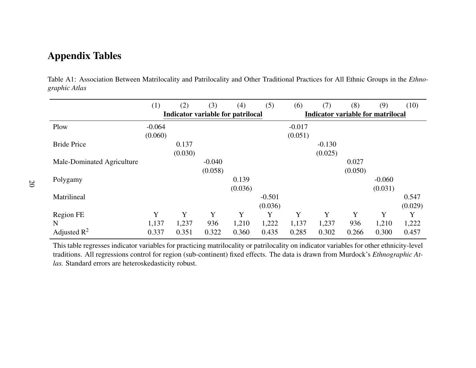# Appendix Tables

Table A1: Association Between Matrilocality and Patrilocality and Other Traditional Practices for All Ethnic Groups in the *Ethnographic Atlas*

|                            | (1)      | (2)     | (3)      | (4)                                      | (5)      | (6)                                      | (7)      | (8)     | (9)      | (10)    |
|----------------------------|----------|---------|----------|------------------------------------------|----------|------------------------------------------|----------|---------|----------|---------|
|                            |          |         |          | <b>Indicator variable for patrilocal</b> |          | <b>Indicator variable for matrilocal</b> |          |         |          |         |
| Plow                       | $-0.064$ |         |          |                                          |          | $-0.017$                                 |          |         |          |         |
|                            | (0.060)  |         |          |                                          |          | (0.051)                                  |          |         |          |         |
| <b>Bride Price</b>         |          | 0.137   |          |                                          |          |                                          | $-0.130$ |         |          |         |
|                            |          | (0.030) |          |                                          |          |                                          | (0.025)  |         |          |         |
| Male-Dominated Agriculture |          |         | $-0.040$ |                                          |          |                                          |          | 0.027   |          |         |
|                            |          |         | (0.058)  |                                          |          |                                          |          | (0.050) |          |         |
| Polygamy                   |          |         |          | 0.139                                    |          |                                          |          |         | $-0.060$ |         |
|                            |          |         |          | (0.036)                                  |          |                                          |          |         | (0.031)  |         |
| Matrilineal                |          |         |          |                                          | $-0.501$ |                                          |          |         |          | 0.547   |
|                            |          |         |          |                                          | (0.036)  |                                          |          |         |          | (0.029) |
| Region FE                  | Y        | Y       | Y        | Y                                        | Y        | Y                                        | Y        | Y       | Y        | Y       |
| N                          | 1,137    | 1,237   | 936      | 1,210                                    | 1,222    | 1,137                                    | 1,237    | 936     | 1,210    | 1,222   |
| Adjusted $\mathbb{R}^2$    | 0.337    | 0.351   | 0.322    | 0.360                                    | 0.435    | 0.285                                    | 0.302    | 0.266   | 0.300    | 0.457   |

<span id="page-19-0"></span>This table regresses indicator variables for practicing matrilocality or patrilocality on indicator variables for other ethnicity-level traditions. All regressions control for region (sub-continent) fixed effects. The data is drawn from Murdock's *Ethnographic Atlas.* Standard errors are heteroskedasticity robust.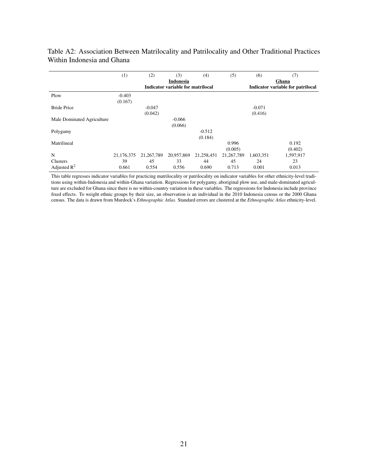|                            | (1)        | (2)          | (3)                               | (4)        | (5)          | (6)       | (7)                               |
|----------------------------|------------|--------------|-----------------------------------|------------|--------------|-----------|-----------------------------------|
|                            |            |              | <b>Indonesia</b>                  |            |              |           | Ghana                             |
|                            |            |              | Indicator variable for matrilocal |            |              |           | Indicator variable for patrilocal |
| Plow                       | $-0.403$   |              |                                   |            |              |           |                                   |
|                            | (0.167)    |              |                                   |            |              |           |                                   |
| <b>Bride Price</b>         |            | $-0.047$     |                                   |            |              | $-0.071$  |                                   |
|                            |            | (0.042)      |                                   |            |              | (0.416)   |                                   |
| Male Dominated Agriculture |            |              | $-0.066$                          |            |              |           |                                   |
|                            |            |              | (0.066)                           |            |              |           |                                   |
| Polygamy                   |            |              |                                   | $-0.512$   |              |           |                                   |
|                            |            |              |                                   | (0.184)    |              |           |                                   |
| Matrilineal                |            |              |                                   |            | 0.996        |           | 0.192                             |
|                            |            |              |                                   |            | (0.005)      |           | (0.402)                           |
| N                          | 21,176,375 | 21, 267, 789 | 20,957,869                        | 21,258,451 | 21, 267, 789 | 1,603,351 | 1,597,917                         |
| Clusters                   | 39         | 45           | 33                                | 44         | 45           | 24        | 23                                |
| Adjusted $\mathbb{R}^2$    | 0.661      | 0.554        | 0.556                             | 0.690      | 0.713        | 0.001     | 0.013                             |

### Table A2: Association Between Matrilocality and Patrilocality and Other Traditional Practices Within Indonesia and Ghana

This table regresses indicator variables for practicing matrilocality or patrilocality on indicator variables for other ethnicity-level traditions using within-Indonesia and within-Ghana variation. Regressions for polygamy, aboriginal plow use, and male-dominated agriculture are excluded for Ghana since there is no within-country variation in these variables. The regressions for Indonesia include province fixed effects. To weight ethnic groups by their size, an observation is an individual in the 2010 Indonesia census or the 2000 Ghana census. The data is drawn from Murdock's *Ethnographic Atlas.* Standard errors are clustered at the *Ethnographic Atlas* ethnicity-level.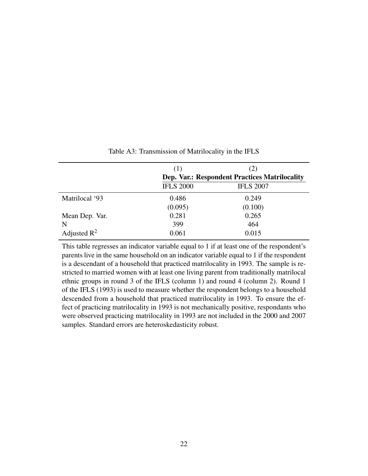<span id="page-21-0"></span>

|                | (1)              | (2)                                                  |  |
|----------------|------------------|------------------------------------------------------|--|
|                |                  | <b>Dep. Var.: Respondent Practices Matrilocality</b> |  |
|                | <b>IFLS 2000</b> | <b>IFLS 2007</b>                                     |  |
| Matrilocal '93 | 0.486            | 0.249                                                |  |
|                | (0.095)          | (0.100)                                              |  |
| Mean Dep. Var. | 0.281            | 0.265                                                |  |
| N              | 399              | 464                                                  |  |
| Adjusted $R^2$ | 0.061            | 0.015                                                |  |

Table A3: Transmission of Matrilocality in the IFLS

This table regresses an indicator variable equal to 1 if at least one of the respondent's parents live in the same household on an indicator variable equal to 1 if the respondent is a descendant of a household that practiced matrilocality in 1993. The sample is restricted to married women with at least one living parent from traditionally matrilocal ethnic groups in round 3 of the IFLS (column 1) and round 4 (column 2). Round 1 of the IFLS (1993) is used to measure whether the respondent belongs to a household descended from a household that practiced matrilocality in 1993. To ensure the effect of practicing matrilocality in 1993 is not mechanically positive, respondants who were observed practicing matrilocality in 1993 are not included in the 2000 and 2007 samples. Standard errors are heteroskedasticity robust.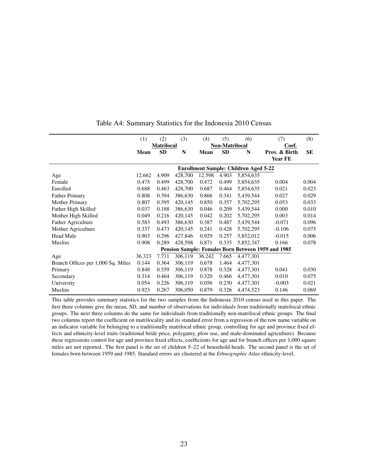|                                    | (1)                                          | (2)               | (3)     | (4)         | (5)            | (6)       | (7)                                                | (8)   |  |
|------------------------------------|----------------------------------------------|-------------------|---------|-------------|----------------|-----------|----------------------------------------------------|-------|--|
|                                    |                                              | <b>Matrilocal</b> |         |             | Non-Matrilocal |           | Coef.                                              |       |  |
|                                    | Mean                                         | <b>SD</b>         | N       | <b>Mean</b> | <b>SD</b>      | N         | Prov. & Birth                                      | SE    |  |
|                                    |                                              |                   |         |             |                |           | Year FE                                            |       |  |
|                                    | <b>Enrollment Sample: Children Aged 5-22</b> |                   |         |             |                |           |                                                    |       |  |
| Age                                | 12.662                                       | 4.909             | 428,700 | 12.598      | 4.903          | 5,854,635 |                                                    |       |  |
| Female                             | 0.475                                        | 0.499             | 428,700 | 0.472       | 0.499          | 5,854,635 | 0.004                                              | 0.004 |  |
| Enrolled                           | 0.688                                        | 0.463             | 428,700 | 0.687       | 0.464          | 5,854,635 | 0.021                                              | 0.023 |  |
| <b>Father Primary</b>              | 0.808                                        | 0.394             | 386,630 | 0.866       | 0.341          | 5,439,544 | 0.027                                              | 0.029 |  |
| <b>Mother Primary</b>              | 0.807                                        | 0.395             | 420,145 | 0.850       | 0.357          | 5,702,295 | 0.053                                              | 0.033 |  |
| Father High Skilled                | 0.037                                        | 0.188             | 386,630 | 0.046       | 0.209          | 5,439,544 | 0.000                                              | 0.010 |  |
| Mother High Skilled                | 0.049                                        | 0.216             | 420,145 | 0.042       | 0.202          | 5,702,295 | 0.003                                              | 0.014 |  |
| <b>Father Agriculture</b>          | 0.583                                        | 0.493             | 386,630 | 0.387       | 0.487          | 5,439,544 | $-0.071$                                           | 0.096 |  |
| Mother Agriculture                 | 0.337                                        | 0.473             | 420,145 | 0.241       | 0.428          | 5,702,295 | $-0.106$                                           | 0.075 |  |
| <b>Head Male</b>                   | 0.903                                        | 0.296             | 427,846 | 0.929       | 0.257          | 5,852,012 | $-0.015$                                           | 0.006 |  |
| Muslim                             | 0.908                                        | 0.289             | 428,598 | 0.871       | 0.335          | 5,852,347 | 0.166                                              | 0.078 |  |
|                                    |                                              |                   |         |             |                |           | Pension Sample: Females Born Between 1959 and 1985 |       |  |
| Age                                | 36.323                                       | 7.711             | 306,119 | 36.242      | 7.665          | 4,477,301 |                                                    |       |  |
| Branch Offices per 1,000 Sq. Miles | 0.144                                        | 0.364             | 306,119 | 0.678       | 1.464          | 4,477,301 |                                                    |       |  |
| Primary                            | 0.848                                        | 0.359             | 306,119 | 0.878       | 0.328          | 4,477,301 | 0.041                                              | 0.030 |  |
| Secondary                          | 0.314                                        | 0.464             | 306,119 | 0.320       | 0.466          | 4,477,301 | 0.010                                              | 0.075 |  |
| University                         | 0.054                                        | 0.226             | 306,119 | 0.056       | 0.230          | 4,477,301 | $-0.003$                                           | 0.021 |  |
| Muslim                             | 0.923                                        | 0.267             | 306,050 | 0.879       | 0.326          | 4,474,523 | 0.146                                              | 0.069 |  |

#### Table A4: Summary Statistics for the Indonesia 2010 Census

This table provides summary statistics for the two samples from the Indonesia 2010 census used in this paper. The first three columns give the mean, SD, and number of observations for individuals from traditionally matrilocal ethnic groups. The next three columns do the same for individuals from traditionally non-matrilocal ethnic groups. The final two columns report the coefficient on matrilocality and its standard error from a regression of the row name variable on an indicator variable for belonging to a traditionally matrilocal ethnic group, controlling for age and province fixed effects and ethnicity-level traits (traditional bride price, polygamy, plow use, and male-dominated agriculture). Because these regressions control for age and province fixed effects, coefficients for age and for branch offices per 1,000 square miles are not reported. The first panel is the set of children 5–22 of household heads. The second panel is the set of females born between 1959 and 1985. Standard errors are clustered at the *Ethnographic Atlas* ethnicity-level.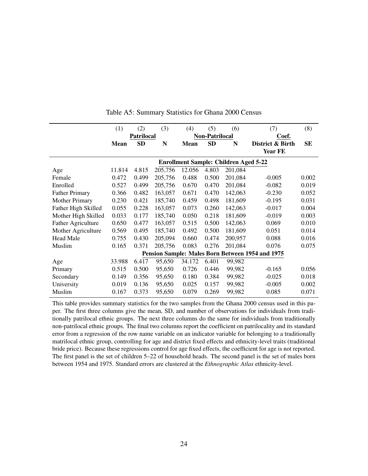<span id="page-23-0"></span>

|                           | (1)         | (2)                                          | (3)     | (4)         | (5)                   | (6)     | (7)                                              | (8)       |  |  |
|---------------------------|-------------|----------------------------------------------|---------|-------------|-----------------------|---------|--------------------------------------------------|-----------|--|--|
|                           |             | <b>Patrilocal</b>                            |         |             | <b>Non-Patrilocal</b> |         | Coef.                                            |           |  |  |
|                           | <b>Mean</b> | <b>SD</b>                                    | N       | <b>Mean</b> | <b>SD</b>             | N       | District & Birth                                 | <b>SE</b> |  |  |
|                           |             |                                              |         |             |                       |         | <b>Year FE</b>                                   |           |  |  |
|                           |             | <b>Enrollment Sample: Children Aged 5-22</b> |         |             |                       |         |                                                  |           |  |  |
| Age                       | 11.814      | 4.815                                        | 205,756 | 12.056      | 4.803                 | 201,084 |                                                  |           |  |  |
| Female                    | 0.472       | 0.499                                        | 205,756 | 0.488       | 0.500                 | 201,084 | $-0.005$                                         | 0.002     |  |  |
| Enrolled                  | 0.527       | 0.499                                        | 205,756 | 0.670       | 0.470                 | 201,084 | $-0.082$                                         | 0.019     |  |  |
| <b>Father Primary</b>     | 0.366       | 0.482                                        | 163,057 | 0.671       | 0.470                 | 142,063 | $-0.230$                                         | 0.052     |  |  |
| <b>Mother Primary</b>     | 0.230       | 0.421                                        | 185,740 | 0.459       | 0.498                 | 181,609 | $-0.195$                                         | 0.031     |  |  |
| Father High Skilled       | 0.055       | 0.228                                        | 163,057 | 0.073       | 0.260                 | 142,063 | $-0.017$                                         | 0.004     |  |  |
| Mother High Skilled       | 0.033       | 0.177                                        | 185,740 | 0.050       | 0.218                 | 181,609 | $-0.019$                                         | 0.003     |  |  |
| <b>Father Agriculture</b> | 0.650       | 0.477                                        | 163,057 | 0.515       | 0.500                 | 142,063 | 0.069                                            | 0.010     |  |  |
| Mother Agriculture        | 0.569       | 0.495                                        | 185,740 | 0.492       | 0.500                 | 181,609 | 0.051                                            | 0.014     |  |  |
| <b>Head Male</b>          | 0.755       | 0.430                                        | 205,094 | 0.660       | 0.474                 | 200,957 | 0.088                                            | 0.016     |  |  |
| Muslim                    | 0.165       | 0.371                                        | 205,756 | 0.083       | 0.276                 | 201,084 | 0.076                                            | 0.075     |  |  |
|                           |             |                                              |         |             |                       |         | Pension Sample: Males Born Between 1954 and 1975 |           |  |  |
| Age                       | 33.988      | 6.417                                        | 95,650  | 34.172      | 6.401                 | 99,982  |                                                  |           |  |  |
| Primary                   | 0.515       | 0.500                                        | 95,650  | 0.726       | 0.446                 | 99,982  | $-0.165$                                         | 0.056     |  |  |
| Secondary                 | 0.149       | 0.356                                        | 95,650  | 0.180       | 0.384                 | 99,982  | $-0.025$                                         | 0.018     |  |  |
| University                | 0.019       | 0.136                                        | 95,650  | 0.025       | 0.157                 | 99,982  | $-0.005$                                         | 0.002     |  |  |
| Muslim                    | 0.167       | 0.373                                        | 95,650  | 0.079       | 0.269                 | 99,982  | 0.085                                            | 0.071     |  |  |

Table A5: Summary Statistics for Ghana 2000 Census

This table provides summary statistics for the two samples from the Ghana 2000 census used in this paper. The first three columns give the mean, SD, and number of observations for individuals from traditionally patrilocal ethnic groups. The next three columns do the same for individuals from traditionally non-patrilocal ethnic groups. The final two columns report the coefficient on patrilocality and its standard error from a regression of the row name variable on an indicator variable for belonging to a traditionally matrilocal ethnic group, controlling for age and district fixed effects and ethnicity-level traits (traditional bride price). Because these regressions control for age fixed effects, the coefficient for age is not reported. The first panel is the set of children 5–22 of household heads. The second panel is the set of males born between 1954 and 1975. Standard errors are clustered at the *Ethnographic Atlas* ethnicity-level.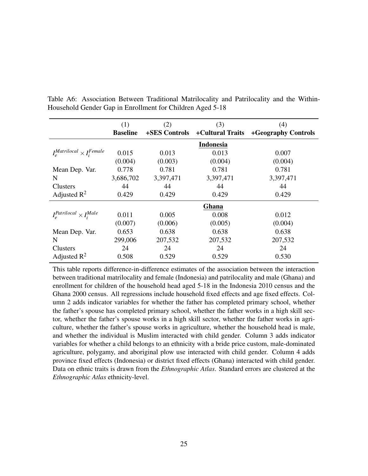|                                        | (1)             | (2)           | (3)              | (4)                 |
|----------------------------------------|-----------------|---------------|------------------|---------------------|
|                                        | <b>Baseline</b> | +SES Controls | +Cultural Traits | +Geography Controls |
|                                        |                 |               | <b>Indonesia</b> |                     |
| $I_e^{Matrilocal} \times I_i^{Female}$ | 0.015           | 0.013         | 0.013            | 0.007               |
|                                        | (0.004)         | (0.003)       | (0.004)          | (0.004)             |
| Mean Dep. Var.                         | 0.778           | 0.781         | 0.781            | 0.781               |
| N                                      | 3,686,702       | 3,397,471     | 3,397,471        | 3,397,471           |
| Clusters                               | 44              | 44            | 44               | 44                  |
| Adjusted $R^2$                         | 0.429           | 0.429         | 0.429            | 0.429               |
|                                        |                 |               | Ghana            |                     |
| $I_e^{Patrilocal} \times I_i^{Male}$   | 0.011           | 0.005         | 0.008            | 0.012               |
|                                        | (0.007)         | (0.006)       | (0.005)          | (0.004)             |
| Mean Dep. Var.                         | 0.653           | 0.638         | 0.638            | 0.638               |
| N                                      | 299,006         | 207,532       | 207,532          | 207,532             |
| <b>Clusters</b>                        | 24              | 24            | 24               | 24                  |
| Adjusted $\mathbb{R}^2$                | 0.508           | 0.529         | 0.529            | 0.530               |

Table A6: Association Between Traditional Matrilocality and Patrilocality and the Within-Household Gender Gap in Enrollment for Children Aged 5-18

This table reports difference-in-difference estimates of the association between the interaction between traditional matrilocality and female (Indonesia) and patrilocality and male (Ghana) and enrollment for children of the household head aged 5-18 in the Indonesia 2010 census and the Ghana 2000 census. All regressions include household fixed effects and age fixed effects. Column 2 adds indicator variables for whether the father has completed primary school, whether the father's spouse has completed primary school, whether the father works in a high skill sector, whether the father's spouse works in a high skill sector, whether the father works in agriculture, whether the father's spouse works in agriculture, whether the household head is male, and whether the individual is Muslim interacted with child gender. Column 3 adds indicator variables for whether a child belongs to an ethnicity with a bride price custom, male-dominated agriculture, polygamy, and aboriginal plow use interacted with child gender. Column 4 adds province fixed effects (Indonesia) or district fixed effects (Ghana) interacted with child gender. Data on ethnic traits is drawn from the *Ethnographic Atlas*. Standard errors are clustered at the *Ethnographic Atlas* ethnicity-level.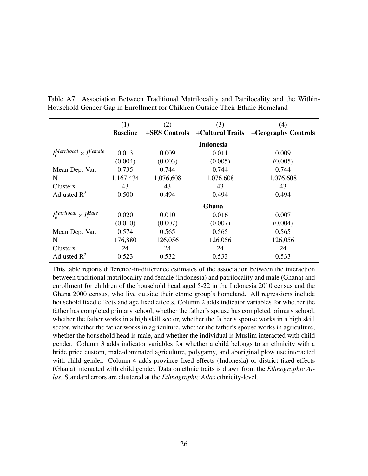|                                        | (1)             | (2)           | (3)              | (4)                 |
|----------------------------------------|-----------------|---------------|------------------|---------------------|
|                                        | <b>Baseline</b> | +SES Controls | +Cultural Traits | +Geography Controls |
|                                        |                 |               | <b>Indonesia</b> |                     |
| $I_e^{Matrilocal} \times I_i^{Female}$ | 0.013           | 0.009         | 0.011            | 0.009               |
|                                        | (0.004)         | (0.003)       | (0.005)          | (0.005)             |
| Mean Dep. Var.                         | 0.735           | 0.744         | 0.744            | 0.744               |
| N                                      | 1,167,434       | 1,076,608     | 1,076,608        | 1,076,608           |
| Clusters                               | 43              | 43            | 43               | 43                  |
| Adjusted $R^2$                         | 0.500           | 0.494         | 0.494            | 0.494               |
|                                        |                 |               | Ghana            |                     |
| $I_e^{Patrilocal} \times I_i^{Male}$   | 0.020           | 0.010         | 0.016            | 0.007               |
|                                        | (0.010)         | (0.007)       | (0.007)          | (0.004)             |
| Mean Dep. Var.                         | 0.574           | 0.565         | 0.565            | 0.565               |
| N                                      | 176,880         | 126,056       | 126,056          | 126,056             |
| Clusters                               | 24              | 24            | 24               | 24                  |
| Adjusted $\mathbb{R}^2$                | 0.523           | 0.532         | 0.533            | 0.533               |

Table A7: Association Between Traditional Matrilocality and Patrilocality and the Within-Household Gender Gap in Enrollment for Children Outside Their Ethnic Homeland

This table reports difference-in-difference estimates of the association between the interaction between traditional matrilocality and female (Indonesia) and patrilocality and male (Ghana) and enrollment for children of the household head aged 5-22 in the Indonesia 2010 census and the Ghana 2000 census, who live outside their ethnic group's homeland. All regressions include household fixed effects and age fixed effects. Column 2 adds indicator variables for whether the father has completed primary school, whether the father's spouse has completed primary school, whether the father works in a high skill sector, whether the father's spouse works in a high skill sector, whether the father works in agriculture, whether the father's spouse works in agriculture, whether the household head is male, and whether the individual is Muslim interacted with child gender. Column 3 adds indicator variables for whether a child belongs to an ethnicity with a bride price custom, male-dominated agriculture, polygamy, and aboriginal plow use interacted with child gender. Column 4 adds province fixed effects (Indonesia) or district fixed effects (Ghana) interacted with child gender. Data on ethnic traits is drawn from the *Ethnographic Atlas*. Standard errors are clustered at the *Ethnographic Atlas* ethnicity-level.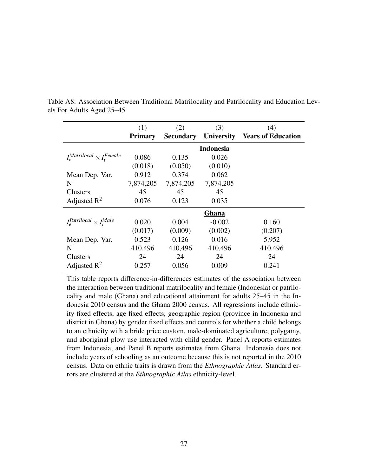|                                        | (1)            | (2)              | (3)               | (4)                       |
|----------------------------------------|----------------|------------------|-------------------|---------------------------|
|                                        | <b>Primary</b> | <b>Secondary</b> | <b>University</b> | <b>Years of Education</b> |
|                                        |                |                  | <b>Indonesia</b>  |                           |
| $I_e^{Matrilocal} \times I_i^{Female}$ | 0.086          | 0.135            | 0.026             |                           |
|                                        | (0.018)        | (0.050)          | (0.010)           |                           |
| Mean Dep. Var.                         | 0.912          | 0.374            | 0.062             |                           |
| N                                      | 7,874,205      | 7,874,205        | 7,874,205         |                           |
| <b>Clusters</b>                        | 45             | 45               | 45                |                           |
| Adjusted $R^2$                         | 0.076          | 0.123            | 0.035             |                           |
|                                        |                |                  | Ghana             |                           |
| $I_a^{Patrilocal} \times I_i^{Male}$   | 0.020          | 0.004            | $-0.002$          | 0.160                     |
|                                        | (0.017)        | (0.009)          | (0.002)           | (0.207)                   |
| Mean Dep. Var.                         | 0.523          | 0.126            | 0.016             | 5.952                     |
| N                                      | 410,496        | 410,496          | 410,496           | 410,496                   |
| <b>Clusters</b>                        | 24             | 24               | 24                | 24                        |
| Adjusted $\mathbb{R}^2$                | 0.257          | 0.056            | 0.009             | 0.241                     |

Table A8: Association Between Traditional Matrilocality and Patrilocality and Education Levels For Adults Aged 25–45

This table reports difference-in-differences estimates of the association between the interaction between traditional matrilocality and female (Indonesia) or patrilocality and male (Ghana) and educational attainment for adults 25–45 in the Indonesia 2010 census and the Ghana 2000 census. All regressions include ethnicity fixed effects, age fixed effects, geographic region (province in Indonesia and district in Ghana) by gender fixed effects and controls for whether a child belongs to an ethnicity with a bride price custom, male-dominated agriculture, polygamy, and aboriginal plow use interacted with child gender. Panel A reports estimates from Indonesia, and Panel B reports estimates from Ghana. Indonesia does not include years of schooling as an outcome because this is not reported in the 2010 census. Data on ethnic traits is drawn from the *Ethnographic Atlas*. Standard errors are clustered at the *Ethnographic Atlas* ethnicity-level.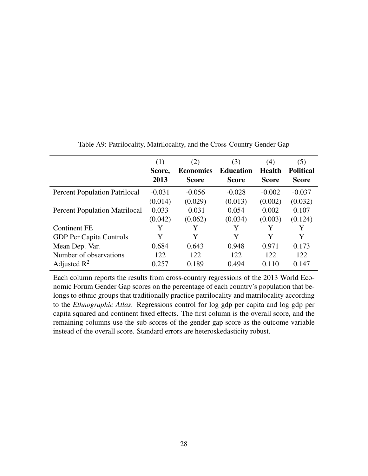<span id="page-27-0"></span>

|                                      | (1)<br>Score,<br>2013 | (2)<br><b>Economics</b><br><b>Score</b> | (3)<br><b>Education</b><br><b>Score</b> | (4)<br><b>Health</b><br><b>Score</b> | (5)<br><b>Political</b><br><b>Score</b> |
|--------------------------------------|-----------------------|-----------------------------------------|-----------------------------------------|--------------------------------------|-----------------------------------------|
| <b>Percent Population Patrilocal</b> | $-0.031$              | $-0.056$                                | $-0.028$                                | $-0.002$                             | $-0.037$                                |
|                                      | (0.014)               | (0.029)                                 | (0.013)                                 | (0.002)                              | (0.032)                                 |
| <b>Percent Population Matrilocal</b> | 0.033                 | $-0.031$                                | 0.054                                   | 0.002                                | 0.107                                   |
|                                      | (0.042)               | (0.062)                                 | (0.034)                                 | (0.003)                              | (0.124)                                 |
| <b>Continent FE</b>                  | Y                     | Y                                       | Y                                       | Y                                    | Y                                       |
| <b>GDP</b> Per Capita Controls       | Y                     | Y                                       | Y                                       | Y                                    | Y                                       |
| Mean Dep. Var.                       | 0.684                 | 0.643                                   | 0.948                                   | 0.971                                | 0.173                                   |
| Number of observations               | 122                   | 122                                     | 122                                     | 122                                  | 122                                     |
| Adjusted $\mathbb{R}^2$              | 0.257                 | 0.189                                   | 0.494                                   | 0.110                                | 0.147                                   |

Table A9: Patrilocality, Matrilocality, and the Cross-Country Gender Gap

Each column reports the results from cross-country regressions of the 2013 World Economic Forum Gender Gap scores on the percentage of each country's population that belongs to ethnic groups that traditionally practice patrilocality and matrilocality according to the *Ethnographic Atlas*. Regressions control for log gdp per capita and log gdp per capita squared and continent fixed effects. The first column is the overall score, and the remaining columns use the sub-scores of the gender gap score as the outcome variable instead of the overall score. Standard errors are heteroskedasticity robust.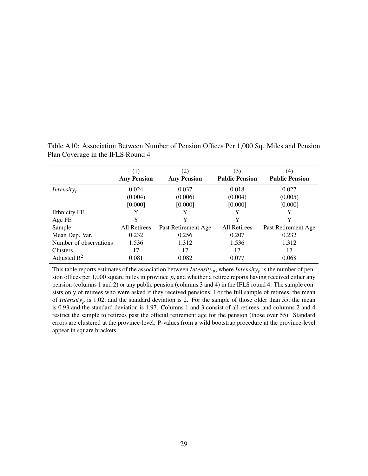|                         | (1)                 | (2)                 | (3)                   | (4)                   |
|-------------------------|---------------------|---------------------|-----------------------|-----------------------|
|                         | <b>Any Pension</b>  | <b>Any Pension</b>  | <b>Public Pension</b> | <b>Public Pension</b> |
| Intensity <sub>p</sub>  | 0.024               | 0.037               | 0.018                 | 0.027                 |
|                         | (0.004)             | (0.006)             | (0.004)               | (0.005)               |
|                         | [0.000]             | [0.000]             | [0.000]               | [0.000]               |
| <b>Ethnicity FE</b>     |                     |                     | Y                     |                       |
| Age FE                  | Y                   | Y                   | Y                     |                       |
| Sample                  | <b>All Retirees</b> | Past Retirement Age | <b>All Retirees</b>   | Past Retirement Age   |
| Mean Dep. Var.          | 0.232               | 0.256               | 0.207                 | 0.232                 |
| Number of observations  | 1,536               | 1,312               | 1,536                 | 1,312                 |
| <b>Clusters</b>         | 17                  | 17                  | 17                    | 17                    |
| Adjusted $\mathbb{R}^2$ | 0.081               | 0.082               | 0.077                 | 0.068                 |

Table A10: Association Between Number of Pension Offices Per 1,000 Sq. Miles and Pension Plan Coverage in the IFLS Round 4

This table reports estimates of the association between *Intensity<sub>p</sub>*, where *Intensity<sub>p</sub>* is the number of pension offices per 1,000 square miles in province *p*, and whether a retiree reports having received either any pension (columns 1 and 2) or any public pension (columns 3 and 4) in the IFLS round 4. The sample consists only of retirees who were asked if they received pensions. For the full sample of retirees, the mean of *Intensity*<sub>p</sub> is 1.02, and the standard deviation is 2. For the sample of those older than 55, the mean is 0.93 and the standard deviation is 1.97. Columns 1 and 3 consist of all retirees, and columns 2 and 4 restrict the sample to retirees past the official retirement age for the pension (those over 55). Standard errors are clustered at the province-level. P-values from a wild bootstrap procedure at the province-level appear in square brackets.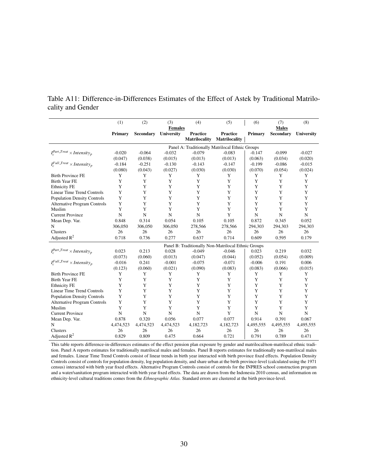<span id="page-29-0"></span>Table A11: Difference-in-Differences Estimates of the Effect of Astek by Traditional Matrilocality and Gender

|                                              | (1)         | (2)              | (3)            | (4)                                                 | (5)                  | (6)         | (7)              | (8)         |
|----------------------------------------------|-------------|------------------|----------------|-----------------------------------------------------|----------------------|-------------|------------------|-------------|
|                                              |             |                  | <b>Females</b> |                                                     |                      |             | <b>Males</b>     |             |
|                                              | Primary     | <b>Secondary</b> | University     | Practice                                            | Practice             | Primary     | <b>Secondary</b> | University  |
|                                              |             |                  |                | <b>Matrilocality</b>                                | <b>Matrilocality</b> |             |                  |             |
|                                              |             |                  |                | Panel A: Traditionally Matrilocal Ethnic Groups     |                      |             |                  |             |
| $I_{\cdot}^{Part\_Treat} \times Intensity_p$ | $-0.020$    | $-0.064$         | $-0.032$       | $-0.079$                                            | $-0.083$             | $-0.147$    | $-0.099$         | $-0.027$    |
|                                              | (0.047)     | (0.038)          | (0.015)        | (0.013)                                             | (0.013)              | (0.063)     | (0.034)          | (0.020)     |
| $I_{\circ}^{Full\_Treat} \times Intensity_p$ | $-0.184$    | $-0.251$         | $-0.130$       | $-0.143$                                            | $-0.147$             | $-0.199$    | $-0.086$         | $-0.015$    |
|                                              | (0.080)     | (0.043)          | (0.027)        | (0.030)                                             | (0.030)              | (0.070)     | (0.054)          | (0.024)     |
| <b>Birth Province FE</b>                     | Y           | Y                | Y              | Y                                                   | Y                    | Y           | Y                | Y           |
| <b>Birth Year FE</b>                         | Y           | Y                | Y              | Y                                                   | Y                    | Y           | Y                | Y           |
| <b>Ethnicity FE</b>                          | Y           | Y                | Y              | Y                                                   | Y                    | Y           | Y                | Y           |
| <b>Linear Time Trend Controls</b>            | Y           | Y                | Y              | Y                                                   | Y                    | Y           | Y                | Y           |
| <b>Population Density Controls</b>           | Y           | Y                | Y              | Y                                                   | Y                    | Y           | Y                | Y           |
| <b>Alternative Program Controls</b>          | Y           | Y                | Y              | Y                                                   | Y                    | Y           | Y                | Y           |
| Muslim                                       | Y           | Y                | Y              | Y                                                   | Y                    | Y           | Y                | Y           |
| <b>Current Province</b>                      | $\mathbf N$ | N                | N              | N                                                   | Y                    | $\mathbf N$ | N                | $\mathbf N$ |
| Mean Dep. Var.                               | 0.848       | 0.314            | 0.054          | 0.105                                               | 0.105                | 0.872       | 0.345            | 0.052       |
| N                                            | 306,050     | 306,050          | 306,050        | 278,566                                             | 278,566              | 294,303     | 294,303          | 294,303     |
| Clusters                                     | 26          | 26               | 26             | 26                                                  | 26                   | 26          | 26               | 26          |
| Adjusted $R^2$                               | 0.718       | 0.736            | 0.277          | 0.637                                               | 0.714                | 0.609       | 0.595            | 0.179       |
|                                              |             |                  |                | Panel B: Traditionally Non-Matrilocal Ethnic Groups |                      |             |                  |             |
| $I^{Part. Treat}_{\sim} \times Intensity_p$  | 0.023       | 0.213            | 0.028          | $-0.049$                                            | $-0.046$             | 0.023       | 0.219            | 0.032       |
|                                              | (0.073)     | (0.060)          | (0.013)        | (0.047)                                             | (0.044)              | (0.052)     | (0.054)          | (0.009)     |
| $I_{\circ}^{Full\_Treat} \times Intensity_p$ | $-0.016$    | 0.241            | $-0.001$       | $-0.075$                                            | $-0.071$             | $-0.006$    | 0.191            | 0.006       |
|                                              | (0.123)     | (0.060)          | (0.021)        | (0.090)                                             | (0.083)              | (0.083)     | (0.066)          | (0.015)     |
| <b>Birth Province FE</b>                     | Y           | Y                | Y              | Y                                                   | Y                    | Y           | Y                | Y           |
| <b>Birth Year FE</b>                         | Y           | Y                | Y              | Y                                                   | Y                    | Y           | Y                | Y           |
| <b>Ethnicity FE</b>                          | Y           | Y                | Y              | Y                                                   | Y                    | Y           | Y                | Y           |
| <b>Linear Time Trend Controls</b>            | Y           | Y                | Y              | Y                                                   | Y                    | Y           | Y                | Y           |
| <b>Population Density Controls</b>           | Y           | Y                | Y              | Y                                                   | Y                    | Y           | Y                | Y           |
| <b>Alternative Program Controls</b>          | Y           | Y                | Y              | Y                                                   | Y                    | Y           | Y                | Y           |
| Muslim                                       | Y           | Y                | Y              | Y                                                   | Y                    | Y           | Y                | Y           |
| <b>Current Province</b>                      | N           | N                | N              | N                                                   | Y                    | N           | N                | $\mathbf N$ |
| Mean Dep. Var.                               | 0.878       | 0.320            | 0.056          | 0.077                                               | 0.077                | 0.914       | 0.391            | 0.067       |
| N                                            | 4,474,523   | 4,474,523        | 4,474,523      | 4,182,723                                           | 4,182,723            | 4,495,555   | 4,495,555        | 4,495,555   |
| Clusters                                     | 26          | 26               | 26             | 26                                                  | 26                   | 26          | 26               | 26          |
| Adjusted $\mathbb{R}^2$                      | 0.829       | 0.809            | 0.475          | 0.664                                               | 0.721                | 0.791       | 0.789            | 0.471       |

This table reports difference-in-differences estimates of the effect pension plan exposure by gender and matrilocal/non-matrilocal ethnic tradition. Panel A reports estimates for traditionally matrilocal males and females. Panel B reports estimates for traditionally non-matrilocal males and females. Linear Time Trend Controls consist of linear trends in birth year interacted with birth province fixed effects. Population Density Controls consist of controls for population density, log population density, and share urban at the birth province-level (calculated using the 1971 census) interacted with birth year fixed effects. Alternative Program Controls consist of controls for the INPRES school construction program and a water/sanitation program interacted with birth year fixed effects. The data are drawn from the Indonesia 2010 census, and information on ethnicity-level cultural traditions comes from the *Ethnographic Atlas.* Standard errors are clustered at the birth province-level.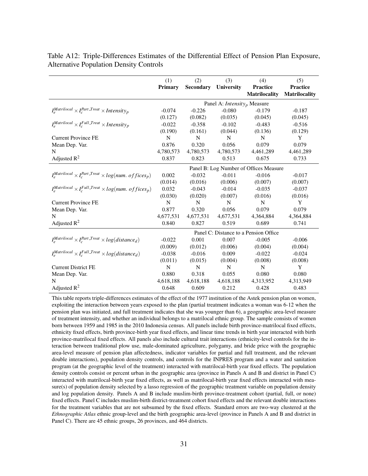|                                                                         | (1)<br><b>Primary</b>                  | (2)<br><b>Secondary</b> | (3)<br><b>University</b>                       | (4)<br><b>Practice</b><br><b>Matrilocality</b> | (5)<br><b>Practice</b><br>Matrilocality |  |  |
|-------------------------------------------------------------------------|----------------------------------------|-------------------------|------------------------------------------------|------------------------------------------------|-----------------------------------------|--|--|
|                                                                         |                                        |                         | Panel A: <i>Intensity</i> <sub>p</sub> Measure |                                                |                                         |  |  |
| $I_e^{Matrilocal} \times I_c^{Part\_Treat} \times Intensity_p$          | $-0.074$                               | $-0.226$                | $-0.080$                                       | $-0.179$                                       | $-0.187$                                |  |  |
|                                                                         | (0.127)                                | (0.082)                 | (0.035)                                        | (0.045)                                        | (0.045)                                 |  |  |
| $I_e^{Matrilocal} \times I_c^{Full\_Treat} \times Intensity_p$          | $-0.022$                               | $-0.358$                | $-0.102$                                       | $-0.483$                                       | $-0.516$                                |  |  |
|                                                                         | (0.190)                                | (0.161)                 | (0.044)                                        | (0.136)                                        | (0.129)                                 |  |  |
| <b>Current Province FE</b>                                              | N                                      | N                       | N                                              | N                                              | Y                                       |  |  |
| Mean Dep. Var.                                                          | 0.876                                  | 0.320                   | 0.056                                          | 0.079                                          | 0.079                                   |  |  |
| N                                                                       | 4,780,573                              | 4,780,573               | 4,780,573                                      | 4,461,289                                      | 4,461,289                               |  |  |
| Adjusted $R^2$                                                          | 0.837                                  | 0.823                   | 0.513                                          | 0.675                                          | 0.733                                   |  |  |
|                                                                         | Panel B: Log Number of Offices Measure |                         |                                                |                                                |                                         |  |  |
| $I_e^{Matrilocal} \times I_c^{Part. Treat} \times log(num.\;offices_p)$ | 0.002                                  | $-0.032$                | $-0.011$                                       | $-0.016$                                       | $-0.017$                                |  |  |
|                                                                         | (0.014)                                | (0.016)                 | (0.006)                                        | (0.007)                                        | (0.007)                                 |  |  |
| $I_e^{Matrilocal} \times I_e^{Full\_Treat} \times log(num.\,offices_p)$ | 0.032                                  | $-0.043$                | $-0.014$                                       | $-0.035$                                       | $-0.037$                                |  |  |
|                                                                         | (0.030)                                | (0.020)                 | (0.007)                                        | (0.016)                                        | (0.016)                                 |  |  |
| <b>Current Province FE</b>                                              | N                                      | N                       | N                                              | N                                              | Y                                       |  |  |
| Mean Dep. Var.                                                          | 0.877                                  | 0.320                   | 0.056                                          | 0.079                                          | 0.079                                   |  |  |
| N                                                                       | 4,677,531                              | 4,677,531               | 4,677,531                                      | 4,364,884                                      | 4,364,884                               |  |  |
| Adjusted $R^2$                                                          | 0.840                                  | 0.827                   | 0.519                                          | 0.689                                          | 0.741                                   |  |  |
|                                                                         |                                        |                         |                                                | Panel C: Distance to a Pension Office          |                                         |  |  |
| $I_a^{Matrilocal} \times I_c^{Part\_Treat} \times log(distance_d)$      | $-0.022$                               | 0.001                   | 0.007                                          | $-0.005$                                       | $-0.006$                                |  |  |
|                                                                         | (0.009)                                | (0.012)                 | (0.006)                                        | (0.004)                                        | (0.004)                                 |  |  |
| $I_e^{Matrilocal} \times I_e^{Full\_Treat} \times log(distance_d)$      | $-0.038$                               | $-0.016$                | 0.009                                          | $-0.022$                                       | $-0.024$                                |  |  |
|                                                                         | (0.011)                                | (0.015)                 | (0.004)                                        | (0.008)                                        | (0.008)                                 |  |  |
| <b>Current District FE</b>                                              | N                                      | $\mathbf N$             | N                                              | $\mathbf N$                                    | Y                                       |  |  |
| Mean Dep. Var.                                                          | 0.880                                  | 0.318                   | 0.055                                          | 0.080                                          | 0.080                                   |  |  |
| N                                                                       | 4,618,188                              | 4,618,188               | 4,618,188                                      | 4,313,952                                      | 4,313,949                               |  |  |
| Adjusted $R^2$                                                          | 0.648                                  | 0.609                   | 0.212                                          | 0.428                                          | 0.483                                   |  |  |

Table A12: Triple-Differences Estimates of the Differential Effect of Pension Plan Exposure, Alternative Population Density Controls

This table reports triple-differences estimates of the effect of the 1977 institution of the Astek pension plan on women, exploiting the interaction between years exposed to the plan (partial treatment indicates a woman was 6-12 when the pension plan was initiated, and full treatment indicates that she was younger than 6), a geographic area-level measure of treatment intensity, and whether an individual belongs to a matrilocal ethnic group. The sample consists of women born between 1959 and 1985 in the 2010 Indonesia census. All panels include birth province-matrilocal fixed effects, ethnicity fixed effects, birth province-birth year fixed effects, and linear time trends in birth year interacted with birth province-matrilocal fixed effects. All panels also include cultural trait interactions (ethnicity-level controls for the interaction between traditional plow use, male-dominated agriculture, polygamy, and bride price with the geographic area-level measure of pension plan affectedness, indicator variables for partial and full treatment, and the relevant double interactions), population density controls, and controls for the INPRES program and a water and sanitation program (at the geographic level of the treatment) interacted with matrilocal-birth year fixed effects. The population density controls consist or percent urban in the geographic area (province in Panels A and B and district in Panel C) interacted with matrilocal-birth year fixed effects, as well as matrilocal-birth year fixed effects interacted with measure(s) of population density selected by a lasso regression of the geographic treatment variable on population density and log population density. Panels A and B include muslim-birth province-treatment cohort (partial, full, or none) fixed effects. Panel C includes muslim-birth district-treatment cohort fixed effects and the relevant double interactions for the treatment variables that are not subsumed by the fixed effects. Standard errors are two-way clustered at the *Ethnographic Atlas* ethnic group-level and the birth geographic area-level (province in Panels A and B and district in Panel C). There are 45 ethnic groups, 26 provinces, and 464 districts.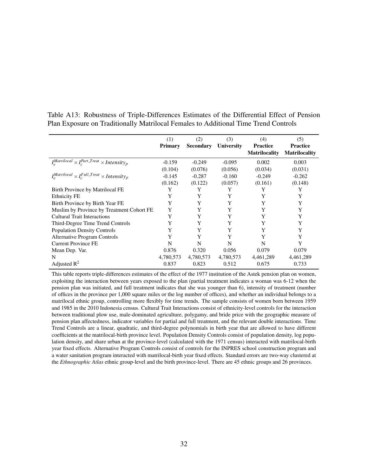|                                                                | (1)       | (2)              | (3)               | (4)                  | (5)                  |
|----------------------------------------------------------------|-----------|------------------|-------------------|----------------------|----------------------|
|                                                                | Primary   | <b>Secondary</b> | <b>University</b> | <b>Practice</b>      | <b>Practice</b>      |
|                                                                |           |                  |                   | <b>Matrilocality</b> | <b>Matrilocality</b> |
| $I_e^{Matrilocal} \times I_e^{Part\_Treat} \times Intensity_p$ | $-0.159$  | $-0.249$         | $-0.095$          | 0.002                | 0.003                |
|                                                                | (0.104)   | (0.076)          | (0.056)           | (0.034)              | (0.031)              |
| $I_e^{Matrilocal} \times I_e^{Full\_Treat} \times Intensity_p$ | $-0.145$  | $-0.287$         | $-0.160$          | $-0.249$             | $-0.262$             |
|                                                                | (0.162)   | (0.122)          | (0.057)           | (0.161)              | (0.148)              |
| Birth Province by Matrilocal FE                                | Y         | Y                | Y                 | Y                    | Y                    |
| <b>Ethnicity FE</b>                                            | Y         | Y                | Y                 | Y                    | Y                    |
| Birth Province by Birth Year FE                                | Y         | Y                | Y                 | Y                    | Y                    |
| Muslim by Province by Treatment Cohort FE                      | Y         | Y                | Y                 | Y                    | Y                    |
| <b>Cultural Trait Interactions</b>                             | Y         | Y                | Y                 | Y                    | Y                    |
| Third-Degree Time Trend Controls                               | Y         | Y                | Y                 | Y                    | Y                    |
| <b>Population Density Controls</b>                             | Y         | Y                | Y                 | Y                    | Y                    |
| <b>Alternative Program Controls</b>                            | Y         | Y                | Y                 | Y                    | Y                    |
| <b>Current Province FE</b>                                     | N         | N                | N                 | N                    | Y                    |
| Mean Dep. Var.                                                 | 0.876     | 0.320            | 0.056             | 0.079                | 0.079                |
| N                                                              | 4,780,573 | 4,780,573        | 4,780,573         | 4,461,289            | 4,461,289            |
| Adjusted $R^2$                                                 | 0.837     | 0.823            | 0.512             | 0.675                | 0.733                |

Table A13: Robustness of Triple-Differences Estimates of the Differential Effect of Pension Plan Exposure on Traditionally Matrilocal Females to Additional Time Trend Controls

This table reports triple-differences estimates of the effect of the 1977 institution of the Astek pension plan on women, exploiting the interaction between years exposed to the plan (partial treatment indicates a woman was 6-12 when the pension plan was initiated, and full treatment indicates that she was younger than 6), intensity of treatment (number of offices in the province per 1,000 square miles or the log number of offices), and whether an individual belongs to a matrilocal ethnic group, controlling more flexibly for time trends. The sample consists of women born between 1959 and 1985 in the 2010 Indonesia census. Cultural Trait Interactions consist of ethnicity-level controls for the interaction between traditional plow use, male-dominated agriculture, polygamy, and bride price with the geographic measure of pension plan affectedness, indicator variables for partial and full treatment, and the relevant double interactions. Time Trend Controls are a linear, quadratic, and third-degree polynomials in birth year that are allowed to have different coefficients at the matrilocal-birth province level. Population Density Controls consist of population density, log population density, and share urban at the province-level (calculated with the 1971 census) interacted with matrilocal-birth year fixed effects. Alternative Program Controls consist of controls for the INPRES school construction program and a water sanitation program interacted with matrilocal-birth year fixed effects. Standard errors are two-way clustered at the *Ethnographic Atlas* ethnic group-level and the birth province-level. There are 45 ethnic groups and 26 provinces.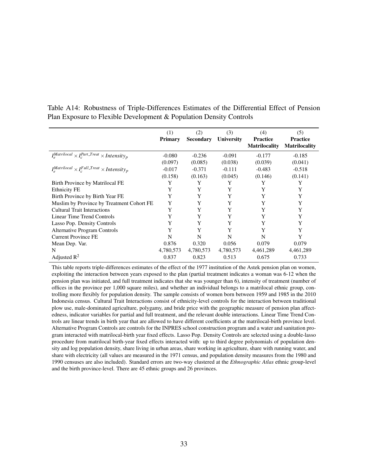|                                                                      | (1)       | (2)              | (3)               | (4)                  | (5)                  |
|----------------------------------------------------------------------|-----------|------------------|-------------------|----------------------|----------------------|
|                                                                      | Primary   | <b>Secondary</b> | <b>University</b> | <b>Practice</b>      | <b>Practice</b>      |
|                                                                      |           |                  |                   | <b>Matrilocality</b> | <b>Matrilocality</b> |
| $I_{c}^{Matrilocal} \times I_{c}^{Part\_Treat} \times Intensity_{p}$ | $-0.080$  | $-0.236$         | $-0.091$          | $-0.177$             | $-0.185$             |
|                                                                      | (0.097)   | (0.085)          | (0.038)           | (0.039)              | (0.041)              |
| $I_a^{Matrilocal} \times I_c^{Full\_Treat} \times Intensity_p$       | $-0.017$  | $-0.371$         | $-0.111$          | $-0.483$             | $-0.518$             |
|                                                                      | (0.158)   | (0.163)          | (0.045)           | (0.146)              | (0.141)              |
| Birth Province by Matrilocal FE                                      | Y         | Y                | Y                 | Y                    | Y                    |
| <b>Ethnicity FE</b>                                                  | Y         | Y                | Y                 | Y                    | Y                    |
| Birth Province by Birth Year FE                                      | Y         | Y                | Y                 | Y                    | Y                    |
| Muslim by Province by Treatment Cohort FE                            | Y         | Y                | Y                 | Y                    | Y                    |
| <b>Cultural Trait Interactions</b>                                   | Y         | Y                | Y                 | Y                    | Y                    |
| Linear Time Trend Controls                                           | Y         | Y                | Y                 | Y                    | Y                    |
| Lasso Pop. Density Controls                                          | Y         | Y                | Y                 | Y                    | Y                    |
| <b>Alternative Program Controls</b>                                  | Y         | Y                | Y                 | Y                    | Y                    |
| <b>Current Province FE</b>                                           | N         | N                | N                 | N                    | Y                    |
| Mean Dep. Var.                                                       | 0.876     | 0.320            | 0.056             | 0.079                | 0.079                |
| N                                                                    | 4,780,573 | 4,780,573        | 4,780,573         | 4,461,289            | 4,461,289            |
| Adjusted $R^2$                                                       | 0.837     | 0.823            | 0.513             | 0.675                | 0.733                |

Table A14: Robustness of Triple-Differences Estimates of the Differential Effect of Pension Plan Exposure to Flexible Development & Population Density Controls

This table reports triple-differences estimates of the effect of the 1977 institution of the Astek pension plan on women, exploiting the interaction between years exposed to the plan (partial treatment indicates a woman was 6-12 when the pension plan was initiated, and full treatment indicates that she was younger than 6), intensity of treatment (number of offices in the province per 1,000 square miles), and whether an individual belongs to a matrilocal ethnic group, controlling more flexibly for population density. The sample consists of women born between 1959 and 1985 in the 2010 Indonesia census. Cultural Trait Interactions consist of ethnicity-level controls for the interaction between traditional plow use, male-dominated agriculture, polygamy, and bride price with the geographic measure of pension plan affectedness, indicator variables for partial and full treatment, and the relevant double interactions. Linear Time Trend Controls are linear trends in birth year that are allowed to have different coefficients at the matrilocal-birth province level. Alternative Program Controls are controls for the INPRES school construction program and a water and sanitation program interacted with matrilocal-birth year fixed effects. Lasso Pop. Density Controls are selected using a double-lasso procedure from matrilocal birth-year fixed effects interacted with: up to third degree polynomials of population density and log population density, share living in urban areas, share working in agriculture, share with running water, and share with electricity (all values are measured in the 1971 census, and population density measures from the 1980 and 1990 censuses are also included). Standard errors are two-way clustered at the *Ethnographic Atlas* ethnic group-level and the birth province-level. There are 45 ethnic groups and 26 provinces.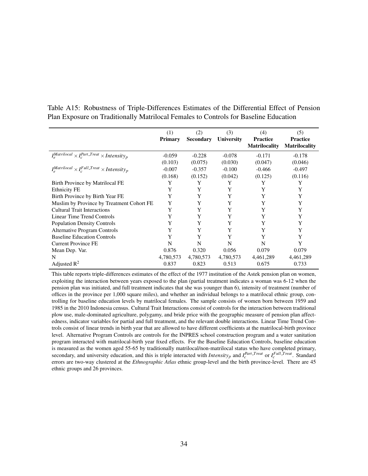|                                                                            | (1)            | (2)              | (3)               | (4)                  | (5)                  |
|----------------------------------------------------------------------------|----------------|------------------|-------------------|----------------------|----------------------|
|                                                                            | <b>Primary</b> | <b>Secondary</b> | <b>University</b> | <b>Practice</b>      | <b>Practice</b>      |
|                                                                            |                |                  |                   | <b>Matrilocality</b> | <b>Matrilocality</b> |
| $I_{\rm c}^{Matrilocal} \times I_{\rm c}^{Part\_Treat} \times Intensity_p$ | $-0.059$       | $-0.228$         | $-0.078$          | $-0.171$             | $-0.178$             |
|                                                                            | (0.103)        | (0.075)          | (0.030)           | (0.047)              | (0.046)              |
| $I_a^{Matrilocal} \times I_c^{Full\_Treat} \times Intensity_p$             | $-0.007$       | $-0.357$         | $-0.100$          | $-0.466$             | $-0.497$             |
|                                                                            | (0.168)        | (0.152)          | (0.042)           | (0.125)              | (0.116)              |
| Birth Province by Matrilocal FE                                            | Y              | Y                | Y                 | Y                    | Y                    |
| <b>Ethnicity FE</b>                                                        | Y              | Y                | Y                 | Y                    | Y                    |
| Birth Province by Birth Year FE                                            | Y              | Y                | Y                 | Y                    | Y                    |
| Muslim by Province by Treatment Cohort FE                                  | Y              | Y                | Y                 | Y                    | Y                    |
| <b>Cultural Trait Interactions</b>                                         | Y              | Y                | Y                 | Y                    | Y                    |
| Linear Time Trend Controls                                                 | Y              | Y                | Y                 | Y                    | Y                    |
| <b>Population Density Controls</b>                                         | Y              | Y                | Y                 | Y                    | Y                    |
| <b>Alternative Program Controls</b>                                        | Y              | Y                | Y                 | Y                    | Y                    |
| <b>Baseline Education Controls</b>                                         | Y              | Y                | Y                 | Y                    | Y                    |
| <b>Current Province FE</b>                                                 | N              | N                | N                 | N                    | Y                    |
| Mean Dep. Var.                                                             | 0.876          | 0.320            | 0.056             | 0.079                | 0.079                |
| N                                                                          | 4,780,573      | 4,780,573        | 4,780,573         | 4,461,289            | 4,461,289            |
| Adjusted $\mathbb{R}^2$                                                    | 0.837          | 0.823            | 0.513             | 0.675                | 0.733                |

Table A15: Robustness of Triple-Differences Estimates of the Differential Effect of Pension Plan Exposure on Traditionally Matrilocal Females to Controls for Baseline Education

This table reports triple-differences estimates of the effect of the 1977 institution of the Astek pension plan on women, exploiting the interaction between years exposed to the plan (partial treatment indicates a woman was 6-12 when the pension plan was initiated, and full treatment indicates that she was younger than 6), intensity of treatment (number of offices in the province per 1,000 square miles), and whether an individual belongs to a matrilocal ethnic group, controlling for baseline education levels by matrilocal females. The sample consists of women born between 1959 and 1985 in the 2010 Indonesia census. Cultural Trait Interactions consist of controls for the interaction between traditional plow use, male-dominated agriculture, polygamy, and bride price with the geographic measure of pension plan affectedness, indicator variables for partial and full treatment, and the relevant double interactions. Linear Time Trend Controls consist of linear trends in birth year that are allowed to have different coefficients at the matrilocal-birth province level. Alternative Program Controls are controls for the INPRES school construction program and a water sanitation program interacted with matrilocal-birth year fixed effects. For the Baseline Education Controls, baseline education is measured as the women aged 55-65 by traditionally matrilocal/non-matrilocal status who have completed primary, secondary, and university education, and this is triple interacted with *Intensity<sub>p</sub>* and  $I_c^{Part\_Treat}$  or  $I_c^{Full\_Treat}$ . Standard errors are two-way clustered at the *Ethnographic Atlas* ethnic group-level and the birth province-level. There are 45 ethnic groups and 26 provinces.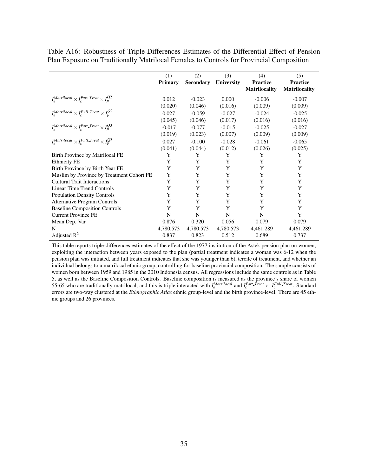Table A16: Robustness of Triple-Differences Estimates of the Differential Effect of Pension Plan Exposure on Traditionally Matrilocal Females to Controls for Provincial Composition

|                                                             | (1)       | (2)              | (3)        | (4)                                     | (5)                                     |
|-------------------------------------------------------------|-----------|------------------|------------|-----------------------------------------|-----------------------------------------|
|                                                             | Primary   | <b>Secondary</b> | University | <b>Practice</b><br><b>Matrilocality</b> | <b>Practice</b><br><b>Matrilocality</b> |
| $I_e^{Matrilocal} \times I_c^{Part\_Treat} \times I_p^{Q2}$ | 0.012     | $-0.023$         | 0.000      | $-0.006$                                | $-0.007$                                |
|                                                             | (0.020)   | (0.046)          | (0.016)    | (0.009)                                 | (0.009)                                 |
| $I_e^{Matrilocal} \times I_c^{Full\_Treat} \times I_p^{Q2}$ | 0.027     | $-0.059$         | $-0.027$   | $-0.024$                                | $-0.025$                                |
|                                                             | (0.045)   | (0.046)          | (0.017)    | (0.016)                                 | (0.016)                                 |
| $I_e^{Matrilocal} \times I_c^{Part\_Treat} \times I_n^{Q3}$ | $-0.017$  | $-0.077$         | $-0.015$   | $-0.025$                                | $-0.027$                                |
|                                                             | (0.019)   | (0.023)          | (0.007)    | (0.009)                                 | (0.009)                                 |
| $I_e^{Matrilocal} \times I_c^{Full\_Treat} \times I_p^{Q3}$ | 0.027     | $-0.100$         | $-0.028$   | $-0.061$                                | $-0.065$                                |
|                                                             | (0.041)   | (0.044)          | (0.012)    | (0.026)                                 | (0.025)                                 |
| Birth Province by Matrilocal FE                             | Y         | Y                | Y          | Y                                       | Y                                       |
| <b>Ethnicity FE</b>                                         | Y         | Y                | Y          | Y                                       | Y                                       |
| Birth Province by Birth Year FE                             | Y         | Y                | Y          | Y                                       | Y                                       |
| Muslim by Province by Treatment Cohort FE                   | Y         | Y                | Y          | Y                                       | Y                                       |
| <b>Cultural Trait Interactions</b>                          | Y         | Y                | Y          | Y                                       | Y                                       |
| Linear Time Trend Controls                                  | Y         | Y                | Y          | Y                                       | Y                                       |
| <b>Population Density Controls</b>                          | Y         | Y                | Y          | Y                                       | Y                                       |
| <b>Alternative Program Controls</b>                         | Y         | Y                | Y          | Y                                       | Y                                       |
| <b>Baseline Composition Controls</b>                        | Y         | Y                | Y          | Y                                       | Y                                       |
| <b>Current Province FE</b>                                  | N         | N                | N          | N                                       | Y                                       |
| Mean Dep. Var.                                              | 0.876     | 0.320            | 0.056      | 0.079                                   | 0.079                                   |
| N                                                           | 4,780,573 | 4,780,573        | 4,780,573  | 4,461,289                               | 4,461,289                               |
| Adjusted $R^2$                                              | 0.837     | 0.823            | 0.512      | 0.689                                   | 0.737                                   |

This table reports triple-differences estimates of the effect of the 1977 institution of the Astek pension plan on women, exploiting the interaction between years exposed to the plan (partial treatment indicates a woman was 6-12 when the pension plan was initiated, and full treatment indicates that she was younger than 6), tercile of treatment, and whether an individual belongs to a matrilocal ethnic group, controlling for baseline provincial composition. The sample consists of women born between 1959 and 1985 in the 2010 Indonesia census. All regressions include the same controls as in Table [5,](#page-21-0) as well as the Baseline Composition Controls. Baseline composition is measured as the province's share of women 55-65 who are traditionally matrilocal, and this is triple interacted with  $I_e^{Matrilocal}$  and  $I_c^{Part\_Treat}$  or  $I_c^{Full\_Treat}$ . Standard errors are two-way clustered at the *Ethnographic Atlas* ethnic group-level and the birth province-level. There are 45 ethnic groups and 26 provinces.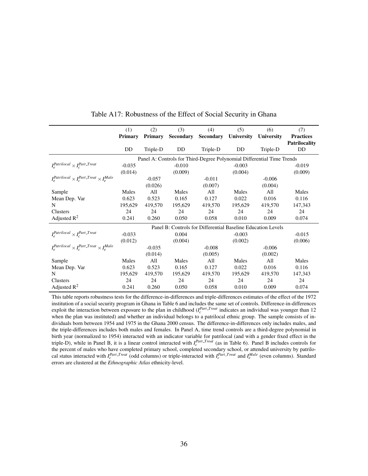|                                                               | (1)            | (2)      | (3)       | (4)                                                                    | (5)        | (6)        | (7)                  |
|---------------------------------------------------------------|----------------|----------|-----------|------------------------------------------------------------------------|------------|------------|----------------------|
|                                                               | <b>Primary</b> | Primary  | Secondary | <b>Secondary</b>                                                       | University | University | <b>Practices</b>     |
|                                                               |                |          |           |                                                                        |            |            | <b>Patrilocality</b> |
|                                                               | DD             | Triple-D | DD        | Triple-D                                                               | DD.        | Triple-D   | DD                   |
|                                                               |                |          |           | Panel A: Controls for Third-Degree Polynomial Differential Time Trends |            |            |                      |
| $I_e^{Partilocal} \times I_c^{Part\_Treat}$                   | $-0.035$       |          | $-0.010$  |                                                                        | $-0.003$   |            | $-0.019$             |
|                                                               | (0.014)        |          | (0.009)   |                                                                        | (0.004)    |            | (0.009)              |
| $I_e^{Partilocal} \times I_e^{Part\_Treat} \times I_e^{Male}$ |                | $-0.057$ |           | $-0.011$                                                               |            | $-0.006$   |                      |
|                                                               |                | (0.026)  |           | (0.007)                                                                |            | (0.004)    |                      |
| Sample                                                        | Males          | All      | Males     | All                                                                    | Males      | All        | Males                |
| Mean Dep. Var                                                 | 0.623          | 0.523    | 0.165     | 0.127                                                                  | 0.022      | 0.016      | 0.116                |
| N                                                             | 195,629        | 419,570  | 195,629   | 419,570                                                                | 195,629    | 419.570    | 147,343              |
| Clusters                                                      | 24             | 24       | 24        | 24                                                                     | 24         | 24         | 24                   |
| Adjusted $R^2$                                                | 0.241          | 0.260    | 0.050     | 0.058                                                                  | 0.010      | 0.009      | 0.074                |
|                                                               |                |          |           | Panel B: Controls for Differential Baseline Education Levels           |            |            |                      |
| $I_e^{Partilocal} \times I_e^{Part\_Treat}$                   | $-0.033$       |          | 0.004     |                                                                        | $-0.003$   |            | $-0.015$             |
|                                                               | (0.012)        |          | (0.004)   |                                                                        | (0.002)    |            | (0.006)              |
| $I_e^{Partilocal} \times I_e^{Part\_Treat} \times I_e^{Male}$ |                | $-0.035$ |           | $-0.008$                                                               |            | $-0.006$   |                      |
|                                                               |                | (0.014)  |           | (0.005)                                                                |            | (0.002)    |                      |
| Sample                                                        | Males          | A11      | Males     | All                                                                    | Males      | All        | Males                |
| Mean Dep. Var                                                 | 0.623          | 0.523    | 0.165     | 0.127                                                                  | 0.022      | 0.016      | 0.116                |
| N                                                             | 195,629        | 419,570  | 195,629   | 419,570                                                                | 195,629    | 419,570    | 147,343              |
| Clusters                                                      | 24             | 24       | 24        | 24                                                                     | 24         | 24         | 24                   |
| Adjusted $R^2$                                                | 0.241          | 0.260    | 0.050     | 0.058                                                                  | 0.010      | 0.009      | 0.074                |

Table A17: Robustness of the Effect of Social Security in Ghana

This table reports robustness tests for the difference-in-differences and triple-differences estimates of the effect of the 1972 institution of a social security program in Ghana in Table [6](#page-23-0) and includes the same set of controls. Difference-in-differences exploit the interaction between exposure to the plan in childhood  $(I_c^{Part\_Treat}$  indicates an individual was younger than 12 when the plan was instituted) and whether an individual belongs to a patrilocal ethnic group. The sample consists of individuals born between 1954 and 1975 in the Ghana 2000 census. The difference-in-differences only includes males, and the triple-differences includes both males and females. In Panel A, time trend controls are a third-degree polynomial in birth year (normalized to 1954) interacted with an indicator variable for patrilocal (and with a gender fixed effect in the triple-D), while in Panel B, it is a linear control interacted with  $I_c^{Part\_Treat}$  (as in Table [6\)](#page-23-0). Panel B includes controls for the percent of males who have completed primary school, completed secondary school, or attended university by patrilocal status interacted with  $I_c^{Part\_Treat}$  (odd columns) or triple-interacted with  $I_c^{Part\_Treat}$  and  $I_e^{Male}$  (even columns). Standard errors are clustered at the *Ethnographic Atlas* ethnicity-level.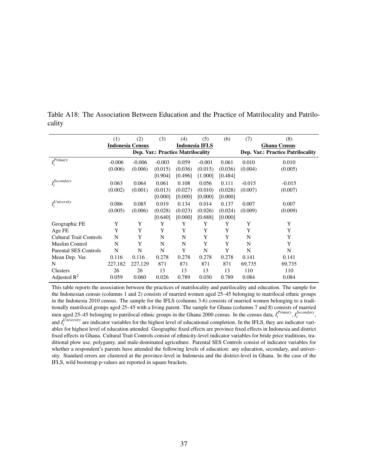|                                | (1)      | (2)                     | (3)                                      | (4)            | (5)      | (6)     | (7)                 | (8)                                      |  |
|--------------------------------|----------|-------------------------|------------------------------------------|----------------|----------|---------|---------------------|------------------------------------------|--|
|                                |          | <b>Indonesia Census</b> |                                          | Indonesia IFLS |          |         | <b>Ghana Census</b> |                                          |  |
|                                |          |                         | <b>Dep. Var.: Practice Matrilocality</b> |                |          |         |                     | <b>Dep. Var.: Practice Patrilocality</b> |  |
| $I_i^{Primary}$                | $-0.006$ | $-0.006$                | $-0.003$                                 | 0.059          | $-0.001$ | 0.061   | 0.010               | 0.010                                    |  |
|                                | (0.006)  | (0.006)                 | (0.015)                                  | (0.036)        | (0.015)  | (0.036) | (0.004)             | (0.005)                                  |  |
|                                |          |                         | [0.904]                                  | [0.496]        | [1.000]  | [0.484] |                     |                                          |  |
| $I_i^{Secondary}$              | 0.063    | 0.064                   | 0.061                                    | 0.108          | 0.056    | 0.111   | $-0.015$            | $-0.015$                                 |  |
|                                | (0.002)  | (0.001)                 | (0.013)                                  | (0.027)        | (0.010)  | (0.028) | (0.007)             | (0.007)                                  |  |
|                                |          |                         | [0.000]                                  | [0.000]        | [0.000]  | [0.000] |                     |                                          |  |
| $I_i^{University}$             | 0.086    | 0.085                   | 0.019                                    | 0.134          | 0.014    | 0.137   | 0.007               | 0.007                                    |  |
|                                | (0.005)  | (0.006)                 | (0.028)                                  | (0.023)        | (0.026)  | (0.024) | (0.009)             | (0.009)                                  |  |
|                                |          |                         | [0.640]                                  | [0.000]        | [0.688]  | [0.000] |                     |                                          |  |
| Geographic FE                  | Y        | Y                       | Y                                        | Y              | Y        | Y       | Y                   | Y                                        |  |
| Age FE                         | Y        | Y                       | Y                                        | Y              | Y        | Y       | Y                   | Y                                        |  |
| <b>Cultural Trait Controls</b> | N        | Y                       | N                                        | N              | Y        | Y       | N                   | Y                                        |  |
| <b>Muslim Control</b>          | N        | Y                       | N                                        | N              | Y        | Y       | N                   | Y                                        |  |
| Parental SES Controls          | N        | N                       | N                                        | Y              | N        | Y       | N                   | N                                        |  |
| Mean Dep. Var.                 | 0.116    | $0.116$ .               | 0.278                                    | 0.278          | 0.278    | 0.278   | 0.141               | 0.141                                    |  |
| N                              | 227,182  | 227,129                 | 871                                      | 871            | 871      | 871     | 69,735              | 69,735                                   |  |
| Clusters                       | 26       | 26                      | 13                                       | 13             | 13       | 13      | 110                 | 110                                      |  |
| Adjusted $R^2$                 | 0.059    | 0.060                   | 0.026                                    | 0.789          | 0.030    | 0.789   | 0.084               | 0.084                                    |  |

Table A18: The Association Between Education and the Practice of Matrilocality and Patrilocality

This table reports the association between the practices of matrilocality and patrilocality and education. The sample for the Indonesian census (columns 1 and 2) consists of married women aged 25–45 belonging to matrilocal ethnic groups in the Indonesia 2010 census. The sample for the IFLS (columns 3-6) consists of married women belonging to a traditionally matrilocal groups aged 25–45 with a living parent. The sample for Ghana (columns 7 and 8) consists of married men aged 25–45 belonging to patrilocal ethnic groups in the Ghana 2000 census. In the census data,  $I_i^{Primary}$ ,  $I_i^{Secondary}$ , and  $I_i^{University}$  are indicator variables for the highest level of educational completion. In the IFLS, they are indicator variables for highest level of education attended. Geographic fixed effects are province fixed effects in Indonesia and district fixed effects in Ghana. Cultural Trait Controls consist of ethnicity-level indicator variables for bride price traditions, traditional plow use, polygamy, and male-dominated agriculture. Parental SES Controls consist of indicator variables for whether a respondent's parents have attended the following levels of education: any education, secondary, and university. Standard errors are clustered at the province-level in Indonesia and the district-level in Ghana. In the case of the IFLS, wild bootstrap p-values are reported in square brackets.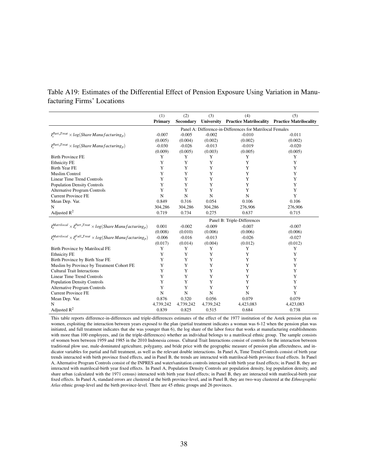### <span id="page-37-0"></span>Table A19: Estimates of the Differential Effect of Pension Exposure Using Variation in Manufacturing Firms' Locations

|                                                                                       | (1)            | (2)              | (3)         | (4)                                                       | (5)       |
|---------------------------------------------------------------------------------------|----------------|------------------|-------------|-----------------------------------------------------------|-----------|
|                                                                                       | <b>Primary</b> | <b>Secondary</b> |             | University Practice Matrilocality Practice Matrilocality  |           |
|                                                                                       |                |                  |             | Panel A: Difference-in-Differences for Matrilocal Females |           |
| $I_c^{Part\_Treat} \times log(Share\,Manufacturing_p)$                                | $-0.007$       | $-0.005$         | $-0.002$    | $-0.010$                                                  | $-0.011$  |
|                                                                                       | (0.005)        | (0.004)          | (0.002)     | (0.002)                                                   | (0.002)   |
| $I_c^{Part. Treat} \times log(Share \, Manuel \, acturing_n)$                         | $-0.030$       | $-0.026$         | $-0.013$    | $-0.019$                                                  | $-0.020$  |
|                                                                                       | (0.009)        | (0.005)          | (0.003)     | (0.005)                                                   | (0.005)   |
| <b>Birth Province FE</b>                                                              | Y              | Y                | Y           | Y                                                         | Y         |
| <b>Ethnicity FE</b>                                                                   | Y              | Y                | Y           | Y                                                         | Y         |
| <b>Birth Year FE</b>                                                                  | Y              | Y                | Y           | Y                                                         | Y         |
| <b>Muslim Control</b>                                                                 | Y              | Y                | Y           | Y                                                         | Y         |
| <b>Linear Time Trend Controls</b>                                                     | Y              | Y                | Y           | Y                                                         | Y         |
| <b>Population Density Controls</b>                                                    | Y              | Y                | Y           | Y                                                         | Y         |
| <b>Alternative Program Controls</b>                                                   | Y              | Y                | Y           | Y                                                         | Y         |
| <b>Current Province FE</b>                                                            | $\mathbf N$    | $\mathbf N$      | N           | $\mathbf N$                                               | Y         |
| Mean Dep. Var.                                                                        | 0.849          | 0.316            | 0.054       | 0.106                                                     | 0.106     |
| N                                                                                     | 304,286        | 304,286          | 304,286     | 276,906                                                   | 276,906   |
| Adjusted $R^2$                                                                        | 0.719          | 0.734            | 0.275       | 0.637                                                     | 0.715     |
|                                                                                       |                |                  |             | Panel B: Triple-Differences                               |           |
| $I_e^{Matrilocal} \times I_c^{Part\_Treat} \times log(Share\,Manufacturing_p)$        | 0.001          | $-0.002$         | $-0.009$    | $-0.007$                                                  | $-0.007$  |
|                                                                                       | (0.008)        | (0.010)          | (0.006)     | (0.006)                                                   | (0.006)   |
| $I_e^{Matrilocal} \times I_c^{Full\_Treat} \times log(Share \, Manuel \, acturing_p)$ | $-0.006$       | $-0.016$         | $-0.013$    | $-0.026$                                                  | $-0.027$  |
|                                                                                       | (0.017)        | (0.014)          | (0.004)     | (0.012)                                                   | (0.012)   |
| Birth Province by Matrilocal FE                                                       | Y              | Y                | Y           | Y                                                         | Y         |
| <b>Ethnicity FE</b>                                                                   | Y              | Y                | Y           | Y                                                         | Y         |
| Birth Province by Birth Year FE                                                       | Y              | Y                | Y           | Y                                                         | Y         |
| Muslim by Province by Treatment Cohort FE                                             | Y              | Y                | Y           | Y                                                         | Y         |
| <b>Cultural Trait Interactions</b>                                                    | Y              | Y                | Y           | Y                                                         | Y         |
| <b>Linear Time Trend Controls</b>                                                     | Y              | Y                | Y           | Y                                                         | Y         |
| <b>Population Density Controls</b>                                                    | Y              | Y                | Y           | Y                                                         | Y         |
| <b>Alternative Program Controls</b>                                                   | Y              | Y                | Y           | Y                                                         | Y         |
| <b>Current Province FE</b>                                                            | $\mathbf N$    | $\mathbf N$      | $\mathbf N$ | $\mathbf N$                                               | Y         |
| Mean Dep. Var.                                                                        | 0.876          | 0.320            | 0.056       | 0.079                                                     | 0.079     |
| N                                                                                     | 4,739,242      | 4,739,242        | 4,739,242   | 4,423,083                                                 | 4,423,083 |
| Adjusted $\mathbb{R}^2$                                                               | 0.839          | 0.825            | 0.515       | 0.684                                                     | 0.738     |

This table reports difference-in-differences and triple-differences estimates of the effect of the 1977 institution of the Astek pension plan on women, exploiting the interaction between years exposed to the plan (partial treatment indicates a woman was 6-12 when the pension plan was initiated, and full treatment indicates that she was younger than 6), the log share of the labor force that works at manufacturing establishments with more than 100 employees, and (in the triple-differences) whether an individual belongs to a matrilocal ethnic group. The sample consists of women born between 1959 and 1985 in the 2010 Indonesia census. Cultural Trait Interactions consist of controls for the interaction between traditional plow use, male-dominated agriculture, polygamy, and bride price with the geographic measure of pension plan affectedness, and indicator variables for partial and full treatment, as well as the relevant double interactions. In Panel A, Time Trend Controls consist of birth year trends interacted with birth province fixed effects, and in Panel B, the trends are interacted with matrilocal-birth province fixed effects. In Panel A, Alternative Program Controls consist of the INPRES and water/sanitation controls interacted with birth year fixed effects; in Panel B, they are interacted with matrilocal-birth year fixed effects. In Panel A, Population Density Controls are population density, log population density, and share urban (calculated with the 1971 census) interacted with birth year fixed effects; in Panel B, they are interacted with matrilocal-birth year fixed effects. In Panel A, standard errors are clustered at the birth province-level, and in Panel B, they are two-way clustered at the *Ethnographic Atlas* ethnic group-level and the birth province-level. There are 45 ethnic groups and 26 provinces.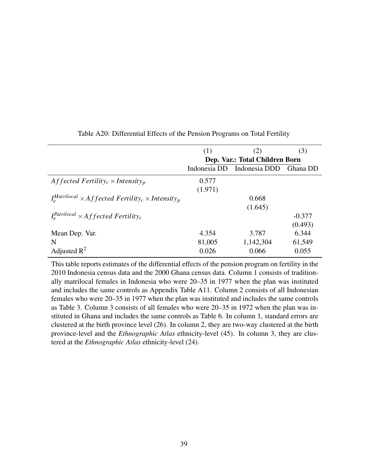<span id="page-38-0"></span>

|                                                                                                   | (1)     | (2)                                 | (3)      |
|---------------------------------------------------------------------------------------------------|---------|-------------------------------------|----------|
|                                                                                                   |         | Dep. Var.: Total Children Born      |          |
|                                                                                                   |         | Indonesia DD Indonesia DDD Ghana DD |          |
| Affected Fertility <sub>c</sub> $\times$ Intensity <sub>p</sub>                                   | 0.577   |                                     |          |
|                                                                                                   | (1.971) |                                     |          |
| $I_{\circ}^{Matrilocal} \times Aff$ fected Fertility <sub>c</sub> $\times$ Intensity <sub>p</sub> |         | 0.668                               |          |
|                                                                                                   |         | (1.645)                             |          |
| $I_{\circ}^{Partialocal} \times Affected$ Fertility <sub>c</sub>                                  |         |                                     | $-0.377$ |
|                                                                                                   |         |                                     | (0.493)  |
| Mean Dep. Var.                                                                                    | 4.354   | 3.787                               | 6.344    |
| N                                                                                                 | 81,005  | 1,142,304                           | 61,549   |
| Adjusted $\mathbb{R}^2$                                                                           | 0.026   | 0.066                               | 0.055    |

Table A20: Differential Effects of the Pension Programs on Total Fertility

This table reports estimates of the differential effects of the pension program on fertility in the 2010 Indonesia census data and the 2000 Ghana census data. Column 1 consists of traditionally matrilocal females in Indonesia who were 20–35 in 1977 when the plan was instituted and includes the same controls as Appendix Table [A11.](#page-29-0) Column 2 consists of all Indonesian females who were 20–35 in 1977 when the plan was instituted and includes the same controls as Table [3.](#page-19-0) Column 3 consists of all females who were 20–35 in 1972 when the plan was instituted in Ghana and includes the same controls as Table [6.](#page-23-0) In column 1, standard errors are clustered at the birth province level (26). In column 2, they are two-way clustered at the birth province-level and the *Ethnographic Atlas* ethnicity-level (45). In column 3, they are clustered at the *Ethnographic Atlas* ethnicity-level (24).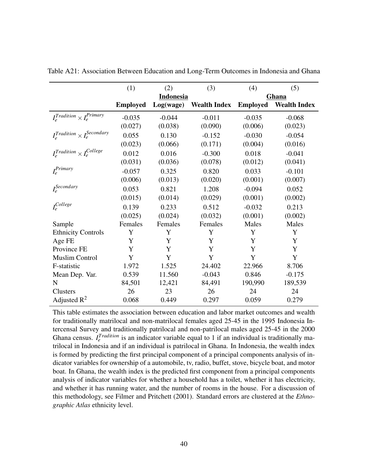|                                          | (1)             | (2)       | (3)                 | (4)             | (5)                 |
|------------------------------------------|-----------------|-----------|---------------------|-----------------|---------------------|
|                                          |                 | Indonesia |                     |                 | Ghana               |
|                                          | <b>Employed</b> | Log(wage) | <b>Wealth Index</b> | <b>Employed</b> | <b>Wealth Index</b> |
| $I_e^{Tradition} \times I_e^{Primary}$   | $-0.035$        | $-0.044$  | $-0.011$            | $-0.035$        | $-0.068$            |
|                                          | (0.027)         | (0.038)   | (0.090)             | (0.006)         | (0.023)             |
| $I_e^{Tradition} \times I_e^{Secondary}$ | 0.055           | 0.130     | $-0.152$            | $-0.030$        | $-0.054$            |
|                                          | (0.023)         | (0.066)   | (0.171)             | (0.004)         | (0.016)             |
| $I_e^{Tradition} \times I_e^{College}$   | 0.012           | 0.016     | $-0.300$            | 0.018           | $-0.041$            |
|                                          | (0.031)         | (0.036)   | (0.078)             | (0.012)         | (0.041)             |
| $I_e^{Primary}$                          | $-0.057$        | 0.325     | 0.820               | 0.033           | $-0.101$            |
|                                          | (0.006)         | (0.013)   | (0.020)             | (0.001)         | (0.007)             |
| $I_e^{Secondary}$                        | 0.053           | 0.821     | 1.208               | $-0.094$        | 0.052               |
|                                          | (0.015)         | (0.014)   | (0.029)             | (0.001)         | (0.002)             |
| $I_e^{College}$                          | 0.139           | 0.233     | 0.512               | $-0.032$        | 0.213               |
|                                          | (0.025)         | (0.024)   | (0.032)             | (0.001)         | (0.002)             |
| Sample                                   | Females         | Females   | Females             | Males           | Males               |
| <b>Ethnicity Controls</b>                | Y               | Y         | Y                   | Y               | Y                   |
| Age FE                                   | Y               | Y         | Y                   | Y               | Y                   |
| Province FE                              | Y               | Y         | Y                   | Y               | Y                   |
| <b>Muslim Control</b>                    | Y               | Y         | Y                   | Y               | Y                   |
| F-statistic                              | 1.972           | 1.525     | 24.402              | 22.966          | 8.706               |
| Mean Dep. Var.                           | 0.539           | 11.560    | $-0.043$            | 0.846           | $-0.175$            |
| N                                        | 84,501          | 12,421    | 84,491              | 190,990         | 189,539             |
| Clusters                                 | 26              | 23        | 26                  | 24              | 24                  |
| Adjusted $R^2$                           | 0.068           | 0.449     | 0.297               | 0.059           | 0.279               |

<span id="page-39-0"></span>Table A21: Association Between Education and Long-Term Outcomes in Indonesia and Ghana

This table estimates the association between education and labor market outcomes and wealth for traditionally matrilocal and non-matrilocal females aged 25-45 in the 1995 Indonesia Intercensal Survey and traditionally patrilocal and non-patrilocal males aged 25-45 in the 2000 Ghana census.  $I_e^{Tradition}$  is an indicator variable equal to 1 if an individual is traditionally matrilocal in Indonesia and if an individual is patrilocal in Ghana. In Indonesia, the wealth index is formed by predicting the first principal component of a principal components analysis of indicator variables for ownership of a automobile, tv, radio, buffet, stove, bicycle boat, and motor boat. In Ghana, the wealth index is the predicted first component from a principal components analysis of indicator variables for whether a household has a toilet, whether it has electricity, and whether it has running water, and the number of rooms in the house. For a discussion of this methodology, see [Filmer and Pritchett](#page-18-4) [\(2001\)](#page-18-4). Standard errors are clustered at the *Ethnographic Atlas* ethnicity level.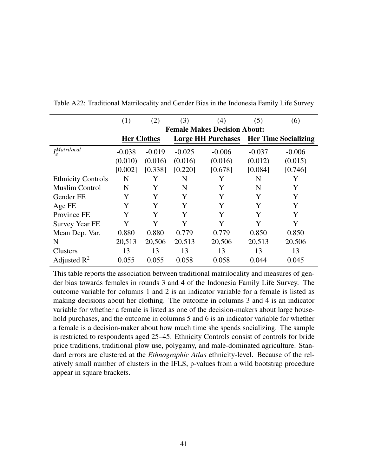|                           | (1)      | (2)                | (3)      | (4)                                 | (5)                                     | (6)      |  |
|---------------------------|----------|--------------------|----------|-------------------------------------|-----------------------------------------|----------|--|
|                           |          |                    |          | <b>Female Makes Decision About:</b> |                                         |          |  |
|                           |          | <b>Her Clothes</b> |          |                                     | Large HH Purchases Her Time Socializing |          |  |
| $I_e^{Matrixlocal}$       | $-0.038$ | $-0.019$           | $-0.025$ | $-0.006$                            | $-0.037$                                | $-0.006$ |  |
|                           | (0.010)  | (0.016)            | (0.016)  | (0.016)                             | (0.012)                                 | (0.015)  |  |
|                           | [0.002]  | [0.338]            | [0.220]  | [0.678]                             | [0.084]                                 | [0.746]  |  |
| <b>Ethnicity Controls</b> | N        | Y                  | N        | Y                                   | N                                       | Y        |  |
| <b>Muslim Control</b>     | N        | Y                  | N        | Y                                   | N                                       | Y        |  |
| Gender FE                 | Y        | Y                  | Y        | Y                                   | Y                                       | Y        |  |
| Age FE                    | Y        | Y                  | Y        | Y                                   | Y                                       | Y        |  |
| Province FE               | Y        | Y                  | Y        | Y                                   | Y                                       | Y        |  |
| <b>Survey Year FE</b>     | Y        | Y                  | Y        | Y                                   | Y                                       | Y        |  |
| Mean Dep. Var.            | 0.880    | 0.880              | 0.779    | 0.779                               | 0.850                                   | 0.850    |  |
| N                         | 20,513   | 20,506             | 20,513   | 20,506                              | 20,513                                  | 20,506   |  |
| Clusters                  | 13       | 13                 | 13       | 13                                  | 13                                      | 13       |  |
| Adjusted $\mathbb{R}^2$   | 0.055    | 0.055              | 0.058    | 0.058                               | 0.044                                   | 0.045    |  |

<span id="page-40-0"></span>Table A22: Traditional Matrilocality and Gender Bias in the Indonesia Family Life Survey

This table reports the association between traditional matrilocality and measures of gender bias towards females in rounds 3 and 4 of the Indonesia Family Life Survey. The outcome variable for columns 1 and 2 is an indicator variable for a female is listed as making decisions about her clothing. The outcome in columns 3 and 4 is an indicator variable for whether a female is listed as one of the decision-makers about large household purchases, and the outcome in columns 5 and 6 is an indicator variable for whether a female is a decision-maker about how much time she spends socializing. The sample is restricted to respondents aged 25–45. Ethnicity Controls consist of controls for bride price traditions, traditional plow use, polygamy, and male-dominated agriculture. Standard errors are clustered at the *Ethnographic Atlas* ethnicity-level. Because of the relatively small number of clusters in the IFLS, p-values from a wild bootstrap procedure appear in square brackets.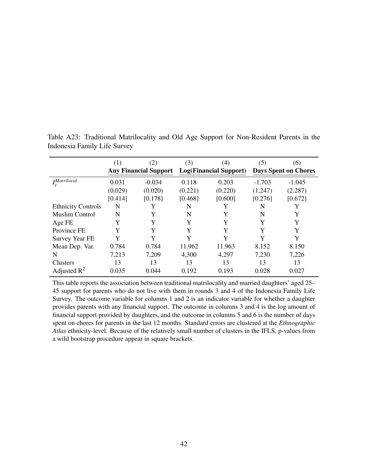|                           | (1)     | (2)                          | (3)     | (4)                    | (5)                         | (6)      |  |
|---------------------------|---------|------------------------------|---------|------------------------|-----------------------------|----------|--|
|                           |         | <b>Any Financial Support</b> |         | Log(Financial Support) | <b>Days Spent on Chores</b> |          |  |
| <i>IMatrilocal</i>        | 0.031   | $-0.034$                     | 0.118   | 0.203                  | $-1.703$                    | $-1.045$ |  |
|                           | (0.029) | (0.020)                      | (0.221) | (0.220)                | (1.247)                     | (2.287)  |  |
|                           | [0.414] | [0.178]                      | [0.468] | [0.600]                | [0.276]                     | [0.672]  |  |
| <b>Ethnicity Controls</b> | N       | Y                            | N       | Y                      | N                           |          |  |
| Muslim Control            | N       | Y                            | N       | Y                      | N                           | Y        |  |
| Age FE                    | Y       | Y                            | Y       | Y                      | Y                           | Y        |  |
| Province FE               | Y       | Y                            | Y       | Y                      | Y                           | Y        |  |
| <b>Survey Year FE</b>     | Y       | Y                            | Y       | Y                      | Y                           | Y        |  |
| Mean Dep. Var.            | 0.784   | 0.784                        | 11.962  | 11.963                 | 8.152                       | 8.150    |  |
| N                         | 7,213   | 7,209                        | 4,300   | 4,297                  | 7,230                       | 7,226    |  |
| Clusters                  | 13      | 13                           | 13      | 13                     | 13                          | 13       |  |
| Adjusted $\mathbb{R}^2$   | 0.035   | 0.044                        | 0.192   | 0.193                  | 0.028                       | 0.027    |  |

<span id="page-41-0"></span>Table A23: Traditional Matrilocality and Old Age Support for Non-Resident Parents in the Indonesia Family Life Survey

This table reports the association between traditional matrilocality and married daughters' aged 25– 45 support for parents who do not live with them in rounds 3 and 4 of the Indonesia Family Life Survey. The outcome variable for columns 1 and 2 is an indicator variable for whether a daughter provides parents with any financial support. The outcome in columns 3 and 4 is the log amount of financial support provided by daughters, and the outcome in columns 5 and 6 is the number of days spent on chores for parents in the last 12 months. Standard errors are clustered at the *Ethnographic Atlas* ethnicity-level. Because of the relatively small number of clusters in the IFLS, p-values from a wild bootstrap procedure appear in square brackets.